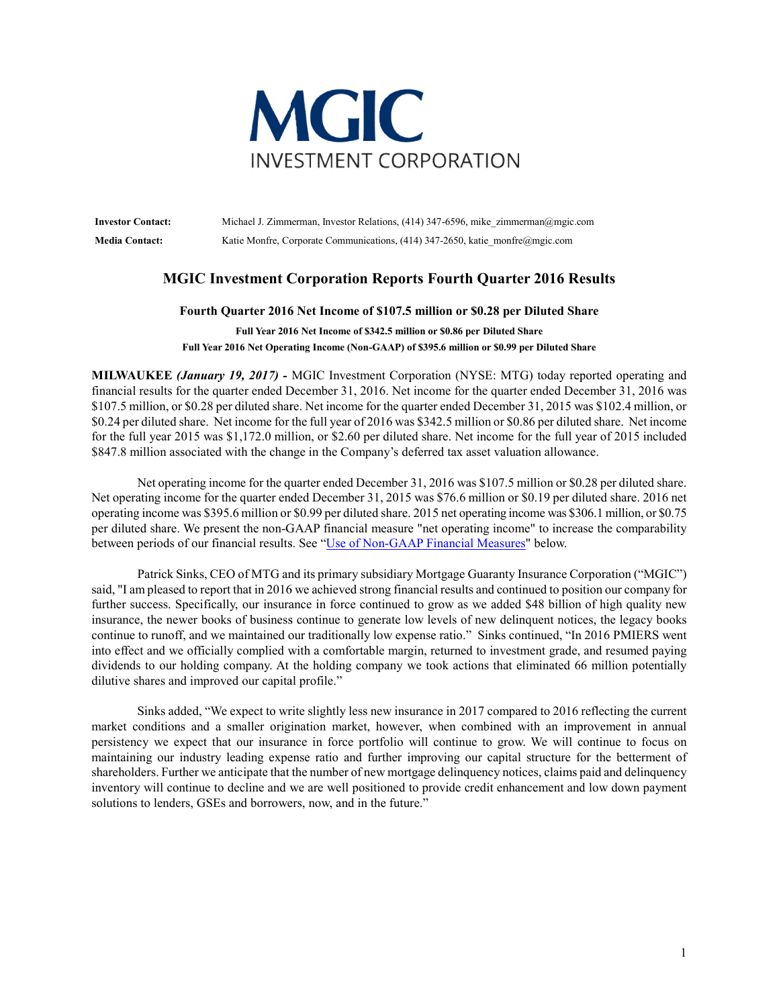

**Investor Contact:** Michael J. Zimmerman, Investor Relations, (414) 347-6596, mike\_zimmerman@mgic.com **Media Contact:** Katie Monfre, Corporate Communications, (414) 347-2650, katie\_monfre@mgic.com

## **MGIC Investment Corporation Reports Fourth Quarter 2016 Results MGIC**

## Fourth Quarter 2016 Net Income of \$107.5 million or \$0.28 per Diluted Share

Full Year 2016 Net Income of \$342.5 million or \$0.86 per Diluted Share Full Year 2016 Net Operating Income (Non-GAAP) of \$395.6 million or \$0.99 per Diluted Share

**MILWAUKEE** *(January 19, 2017) -* MGIC Investment Corporation (NYSE: MTG) today reported operating and financial results for the quarter ended December 31, 2016. Net income for the quarter ended December 31, 2016 was \$107.5 million, or \$0.28 per diluted share. Net income for the quarter ended December 31, 2015 was \$102.4 million, or \$107.5 million, or \$0.28 per diluted share. Net income for the quarter ended December 31, 2015 was \$102.4 million, or<br>\$0.24 per diluted share. Net income for the full year of 2016 was \$342.5 million or \$0.86 per diluted sh for the full year 2015 was \$1,172.0 million, or \$2.60 per diluted share. Net income for the full year of 2015 included for the full year 2015 was \$1,172.0 million, or \$2.60 per diluted share. Net income for the full year \$847.8 million associated with the change in the Company's deferred tax asset valuation allowance.

Net operating income for the quarter ended December 31, 2016 was \$107.5 million or \$0.28 per diluted share. Net operating income for the quarter ended December 31, 2015 was \$76.6 million or \$0.19 per diluted share. 2016 net operating income was \$395.6 million or \$0.99 per diluted share. 2015 net operating income was \$306.1 million, or \$0.75 per diluted share. We present the non-GAAP financial measure "net operating income" to increase the comparability between periods of our financial results. See "Use of Non-GAAP Financial Measures" below. operating income for the quarter ended December 31, 2016 was \$107.5 million or \$0.28 per diluted share.<br>2016 net income for the quarter ended December 31, 2015 was \$76.6 million or \$0.19 per diluted share. 2016 net<br>2016 on

Patrick Sinks, CEO of MTG and its primary subsidiary Mortgage Guaranty Insurance Corporation ("MGIC") Patrick Sinks, CEO of MTG and its primary subsidiary Mortgage Guaranty Insurance Corporation ("MGIC") said, "I am pleased to report that in 2016 we achieved strong financial results and continued to position our company fo further success. Specifically, our insurance in force continued to grow as we added \$48 billion of high quality new further success. Specifically, our insurance in force continued to grow as we added \$48 billion of high quality new<br>insurance, the newer books of business continue to generate low levels of new delinquent notices, the lega continue to runoff, and we maintained our traditionally low expense ratio." Sinks continued, "In 2016 PMIERS went into effect and we officially complied with a comfortable margin, returned to investment grade, and r dividends to our holding company. At the holding company we took actions that eliminated 66 million potentially dilutive shares and improved our capital profile." to runoff, and we maintained our traditionally low expense ratio." Sinks continued, "In 2016 PMIERS went<br>t and we officially complied with a comfortable margin, returned to investment grade, and resumed paying<br>is to our ho nent Corporation (NYSE: MTG) today reported operating and 016. Net income for the quarter ended December 31, 2015 was \$102.4 million, or 2016 was \$342.5 million or \$0.86 per diluted share. Net income ber diluted share. Net

Sinks added, "We expect to write slightly less new insurance in 2017 compared to 2016 reflecting the curren market conditions and a smaller origination market, however, when combined with an improvement in annual persistency we expect that our insurance in force portfolio will continue to grow. We will continue to focus on maintaining our industry leading expense ratio and further improving our capital structure for the betterment of shareholders. Further we anticipate that the number of new mortgage delinquency notices, claims paid and delinquency inventory will continue to decline and we are well positioned to provide credit enhancement and low down payment solutions to lenders, GSEs and borrowers, now, and in the future." conditions and a smaller origination market, however, when combined with an improvement in annual<br>nex we expect that our insurance in force portfolio will continue to grow. We will continue to focus om<br>hing our industry le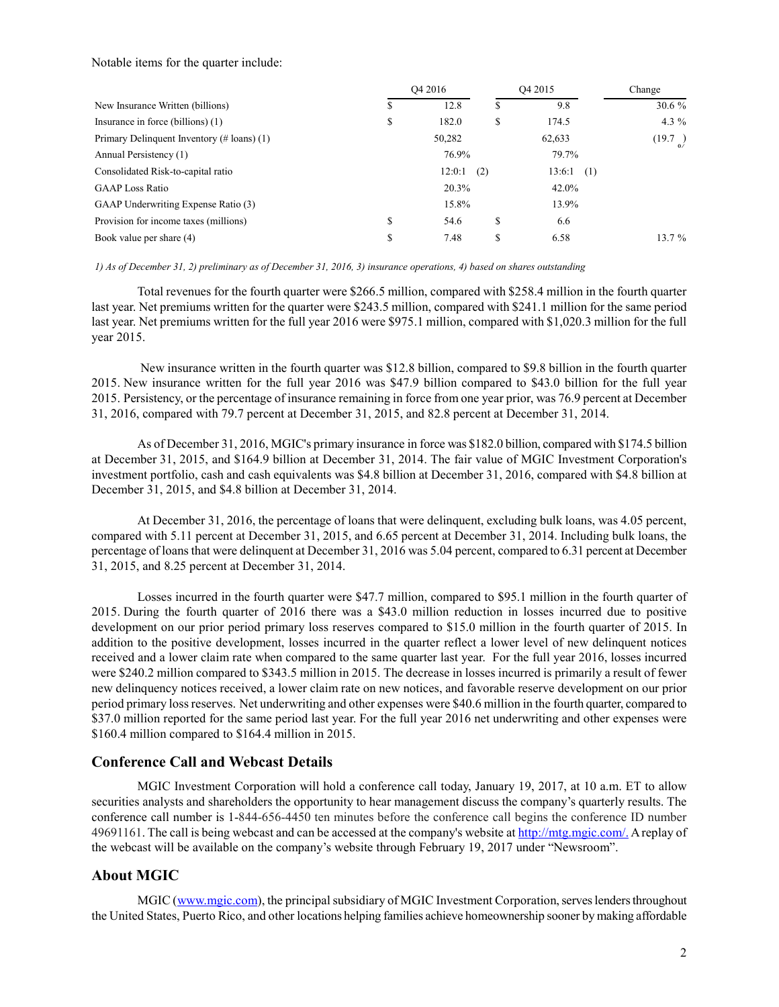#### Notable items for the quarter include:

|                                            | O <sub>4</sub> 2016 |     | O <sub>4</sub> 2015 | Change    |
|--------------------------------------------|---------------------|-----|---------------------|-----------|
| New Insurance Written (billions)<br>S      | 12.8                | S   | 9.8                 | $30.6\%$  |
| \$<br>Insurance in force (billions) $(1)$  | 182.0               | S   | 174.5               | 4.3 $%$   |
| Primary Delinquent Inventory (# loans) (1) | 50,282              |     | 62,633              | (19.7)    |
| Annual Persistency (1)                     | 76.9%               |     | 79.7%               |           |
| Consolidated Risk-to-capital ratio         | 12:0:1              | (2) | 13:6:1(1)           |           |
| <b>GAAP</b> Loss Ratio                     | 20.3%               |     | 42.0%               |           |
| GAAP Underwriting Expense Ratio (3)        | 15.8%               |     | 13.9%               |           |
| S<br>Provision for income taxes (millions) | 54.6                | S   | 6.6                 |           |
| \$<br>Book value per share (4)             | 7.48                | S   | 6.58                | $13.7 \%$ |

#### *1) As of December 31, 2) preliminary as of December 31, 2016, 3) insurance operations, 4) based on shares outstanding*

Total revenues for the fourth quarter were \$266.5 million, compared with \$258.4 million in the fourth quarter last year. Net premiums written for the quarter were \$243.5 million, compared with \$241.1 million for the same period last year. Net premiums written for the full year 2016 were \$975.1 million, compared with \$1,020.3 million for the full year 2015.

New insurance written in the fourth quarter was \$12.8 billion, compared to \$9.8 billion in the fourth quarter 2015. New insurance written for the full year 2016 was \$47.9 billion compared to \$43.0 billion for the full year 2015. Persistency, or the percentage of insurance remaining in force from one year prior, was 76.9 percent at December 31, 2016, compared with 79.7 percent at December 31, 2015, and 82.8 percent at December 31, 2014.

As of December 31, 2016, MGIC's primary insurance in force was \$182.0 billion, compared with \$174.5 billion at December 31, 2015, and \$164.9 billion at December 31, 2014. The fair value of MGIC Investment Corporation's investment portfolio, cash and cash equivalents was \$4.8 billion at December 31, 2016, compared with \$4.8 billion at December 31, 2015, and \$4.8 billion at December 31, 2014.

At December 31, 2016, the percentage of loans that were delinquent, excluding bulk loans, was 4.05 percent, compared with 5.11 percent at December 31, 2015, and 6.65 percent at December 31, 2014. Including bulk loans, the percentage of loans that were delinquent at December 31, 2016 was 5.04 percent, compared to 6.31 percent at December 31, 2015, and 8.25 percent at December 31, 2014.

Losses incurred in the fourth quarter were \$47.7 million, compared to \$95.1 million in the fourth quarter of 2015. During the fourth quarter of 2016 there was a \$43.0 million reduction in losses incurred due to positive development on our prior period primary loss reserves compared to \$15.0 million in the fourth quarter of 2015. In addition to the positive development, losses incurred in the quarter reflect a lower level of new delinquent notices received and a lower claim rate when compared to the same quarter last year. For the full year 2016, losses incurred were \$240.2 million compared to \$343.5 million in 2015. The decrease in losses incurred is primarily a result of fewer new delinquency notices received, a lower claim rate on new notices, and favorable reserve development on our prior period primary loss reserves. Net underwriting and other expenses were \$40.6 million in the fourth quarter, compared to \$37.0 million reported for the same period last year. For the full year 2016 net underwriting and other expenses were \$160.4 million compared to \$164.4 million in 2015.

## **Conference Call and Webcast Details**

MGIC Investment Corporation will hold a conference call today, January 19, 2017, at 10 a.m. ET to allow securities analysts and shareholders the opportunity to hear management discuss the company's quarterly results. The conference call number is 1-844-656-4450 ten minutes before the conference call begins the conference ID number 49691161. The call is being webcast and can be accessed at the company's website at http://mtg.mgic.com/. A replay of the webcast will be available on the company's website through February 19, 2017 under "Newsroom".

## **About MGIC**

MGIC (www.mgic.com), the principal subsidiary of MGIC Investment Corporation, serves lenders throughout the United States, Puerto Rico, and other locations helping families achieve homeownership sooner by making affordable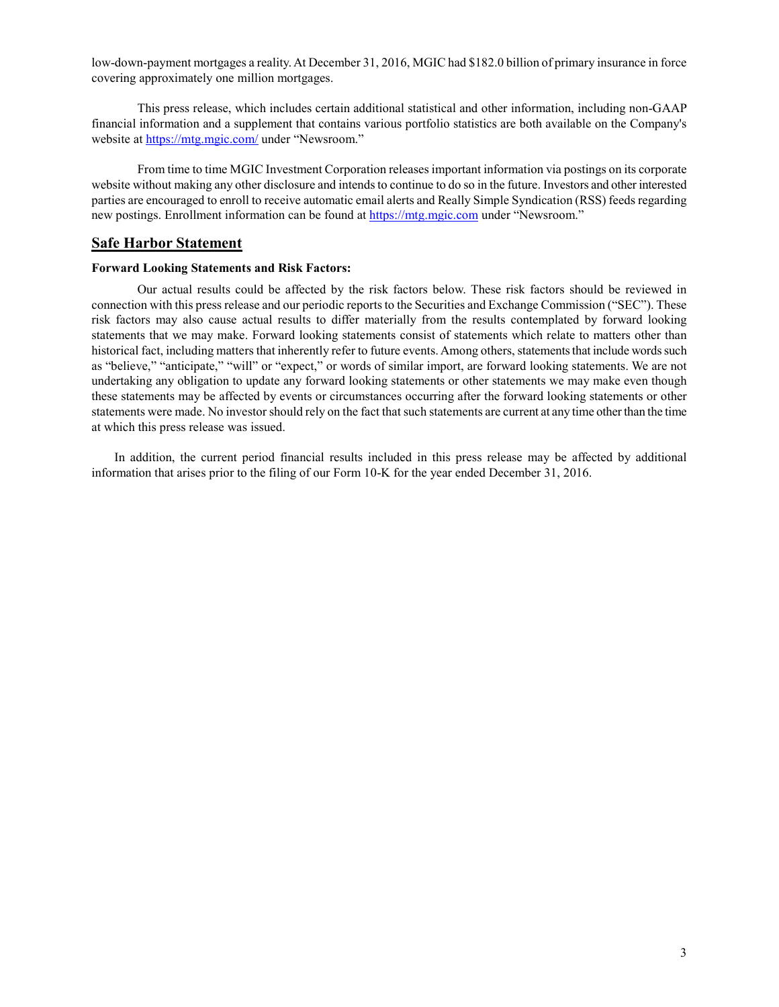low-down-payment mortgages a reality. At December 31, 2016, MGIC had \$182.0 billion of primary insurance in force covering approximately one million mortgages.

This press release, which includes certain additional statistical and other information, including non-GAAP financial information and a supplement that contains various portfolio statistics are both available on the Company's website at https://mtg.mgic.com/ under "Newsroom."

From time to time MGIC Investment Corporation releases important information via postings on its corporate website without making any other disclosure and intends to continue to do so in the future. Investors and other interested parties are encouraged to enroll to receive automatic email alerts and Really Simple Syndication (RSS) feeds regarding new postings. Enrollment information can be found at https://mtg.mgic.com under "Newsroom."

### **Safe Harbor Statement**

#### **Forward Looking Statements and Risk Factors:**

Our actual results could be affected by the risk factors below. These risk factors should be reviewed in connection with this press release and our periodic reports to the Securities and Exchange Commission ("SEC"). These risk factors may also cause actual results to differ materially from the results contemplated by forward looking statements that we may make. Forward looking statements consist of statements which relate to matters other than historical fact, including matters that inherently refer to future events. Among others, statements that include words such as "believe," "anticipate," "will" or "expect," or words of similar import, are forward looking statements. We are not undertaking any obligation to update any forward looking statements or other statements we may make even though these statements may be affected by events or circumstances occurring after the forward looking statements or other statements were made. No investor should rely on the fact that such statements are current at any time other than the time at which this press release was issued.

In addition, the current period financial results included in this press release may be affected by additional information that arises prior to the filing of our Form 10-K for the year ended December 31, 2016.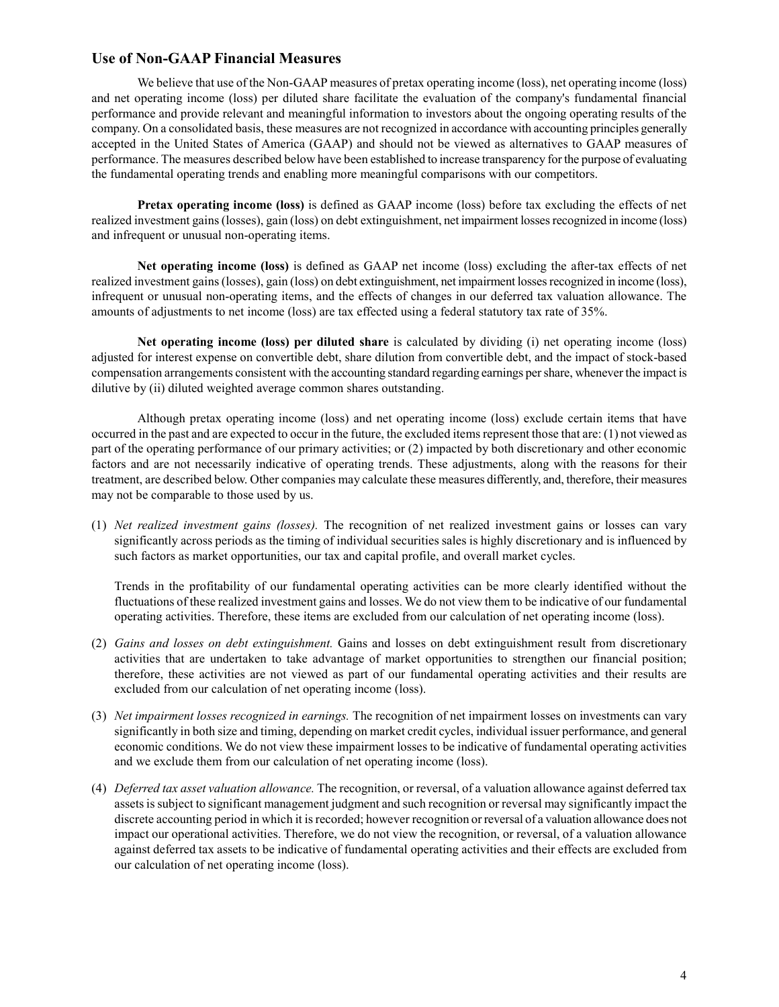## **Use of Non-GAAP Financial Measures**

We believe that use of the Non-GAAP measures of pretax operating income (loss), net operating income (loss) and net operating income (loss) per diluted share facilitate the evaluation of the company's fundamental financial performance and provide relevant and meaningful information to investors about the ongoing operating results of the company. On a consolidated basis, these measures are not recognized in accordance with accounting principles generally accepted in the United States of America (GAAP) and should not be viewed as alternatives to GAAP measures of performance. The measures described below have been established to increase transparency for the purpose of evaluating the fundamental operating trends and enabling more meaningful comparisons with our competitors.

**Pretax operating income (loss)** is defined as GAAP income (loss) before tax excluding the effects of net realized investment gains (losses), gain (loss) on debt extinguishment, net impairment losses recognized in income (loss) and infrequent or unusual non-operating items.

**Net operating income (loss)** is defined as GAAP net income (loss) excluding the after-tax effects of net realized investment gains (losses), gain (loss) on debt extinguishment, net impairment losses recognized in income (loss), infrequent or unusual non-operating items, and the effects of changes in our deferred tax valuation allowance. The amounts of adjustments to net income (loss) are tax effected using a federal statutory tax rate of 35%.

**Net operating income (loss) per diluted share** is calculated by dividing (i) net operating income (loss) adjusted for interest expense on convertible debt, share dilution from convertible debt, and the impact of stock-based compensation arrangements consistent with the accounting standard regarding earnings per share, whenever the impact is dilutive by (ii) diluted weighted average common shares outstanding.

Although pretax operating income (loss) and net operating income (loss) exclude certain items that have occurred in the past and are expected to occur in the future, the excluded items represent those that are: (1) not viewed as part of the operating performance of our primary activities; or (2) impacted by both discretionary and other economic factors and are not necessarily indicative of operating trends. These adjustments, along with the reasons for their treatment, are described below. Other companies may calculate these measures differently, and, therefore, their measures may not be comparable to those used by us.

(1) *Net realized investment gains (losses).* The recognition of net realized investment gains or losses can vary significantly across periods as the timing of individual securities sales is highly discretionary and is influenced by such factors as market opportunities, our tax and capital profile, and overall market cycles.

Trends in the profitability of our fundamental operating activities can be more clearly identified without the fluctuations of these realized investment gains and losses. We do not view them to be indicative of our fundamental operating activities. Therefore, these items are excluded from our calculation of net operating income (loss).

- (2) *Gains and losses on debt extinguishment.* Gains and losses on debt extinguishment result from discretionary activities that are undertaken to take advantage of market opportunities to strengthen our financial position; therefore, these activities are not viewed as part of our fundamental operating activities and their results are excluded from our calculation of net operating income (loss).
- (3) *Net impairment losses recognized in earnings.* The recognition of net impairment losses on investments can vary significantly in both size and timing, depending on market credit cycles, individual issuer performance, and general economic conditions. We do not view these impairment losses to be indicative of fundamental operating activities and we exclude them from our calculation of net operating income (loss).
- (4) *Deferred tax asset valuation allowance.* The recognition, or reversal, of a valuation allowance against deferred tax assets is subject to significant management judgment and such recognition or reversal may significantly impact the discrete accounting period in which it is recorded; however recognition or reversal of a valuation allowance does not impact our operational activities. Therefore, we do not view the recognition, or reversal, of a valuation allowance against deferred tax assets to be indicative of fundamental operating activities and their effects are excluded from our calculation of net operating income (loss).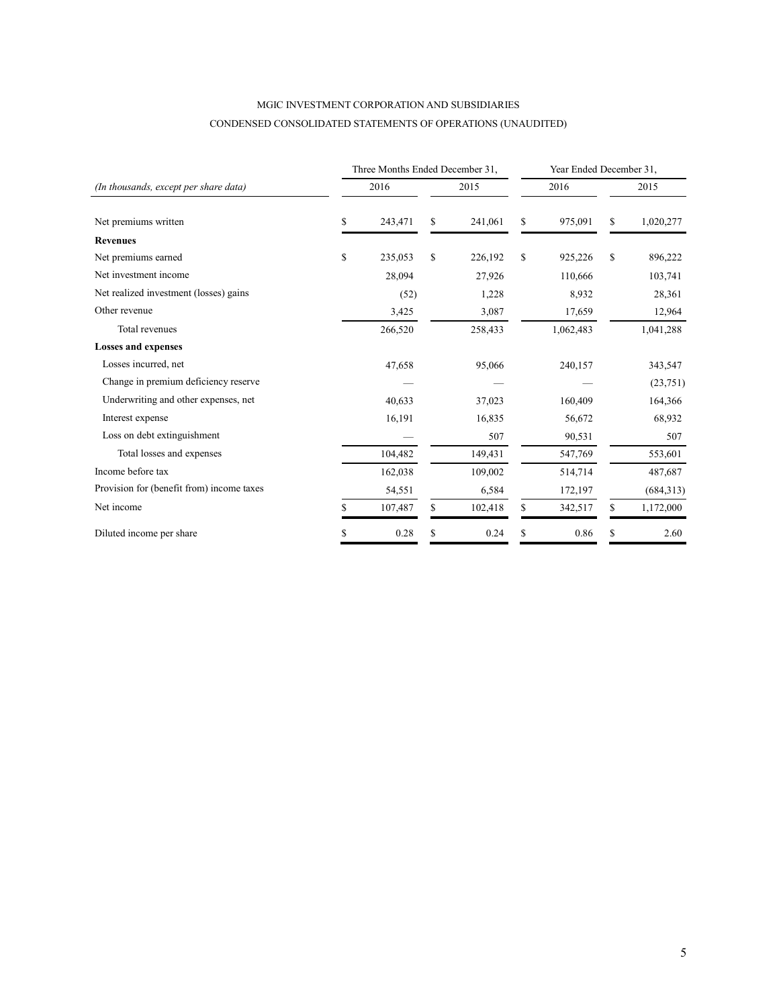## MGIC INVESTMENT CORPORATION AND SUBSIDIARIES

## CONDENSED CONSOLIDATED STATEMENTS OF OPERATIONS (UNAUDITED)

|                                           |    | Three Months Ended December 31, |    | Year Ended December 31, |    |           |      |           |  |
|-------------------------------------------|----|---------------------------------|----|-------------------------|----|-----------|------|-----------|--|
| (In thousands, except per share data)     |    | 2016                            |    | 2015                    |    | 2016      | 2015 |           |  |
| Net premiums written                      | S  | 243,471                         | \$ | 241,061                 | \$ | 975,091   | \$   | 1,020,277 |  |
| <b>Revenues</b>                           |    |                                 |    |                         |    |           |      |           |  |
| Net premiums earned                       | \$ | 235,053                         | S  | 226,192                 | \$ | 925,226   | \$   | 896,222   |  |
| Net investment income                     |    | 28,094                          |    | 27,926                  |    | 110,666   |      | 103,741   |  |
| Net realized investment (losses) gains    |    | (52)                            |    | 1,228                   |    | 8,932     |      | 28,361    |  |
| Other revenue                             |    | 3,425                           |    | 3,087                   |    | 17,659    |      | 12,964    |  |
| Total revenues                            |    | 266,520                         |    | 258,433                 |    | 1,062,483 |      | 1,041,288 |  |
| <b>Losses and expenses</b>                |    |                                 |    |                         |    |           |      |           |  |
| Losses incurred, net                      |    | 47,658                          |    | 95,066                  |    | 240,157   |      | 343,547   |  |
| Change in premium deficiency reserve      |    |                                 |    |                         |    |           |      | (23,751)  |  |
| Underwriting and other expenses, net      |    | 40,633                          |    | 37,023                  |    | 160,409   |      | 164,366   |  |
| Interest expense                          |    | 16,191                          |    | 16,835                  |    | 56,672    |      | 68,932    |  |
| Loss on debt extinguishment               |    |                                 |    | 507                     |    | 90,531    |      | 507       |  |
| Total losses and expenses                 |    | 104,482                         |    | 149,431                 |    | 547,769   |      | 553,601   |  |
| Income before tax                         |    | 162,038                         |    | 109,002                 |    | 514,714   |      | 487,687   |  |
| Provision for (benefit from) income taxes |    | 54,551                          |    | 6,584                   |    | 172,197   |      | (684,313) |  |
| Net income                                |    | 107,487                         | \$ | 102,418                 | \$ | 342,517   | \$   | 1,172,000 |  |
| Diluted income per share                  | S  | 0.28                            | S  | 0.24                    | \$ | 0.86      | \$   | 2.60      |  |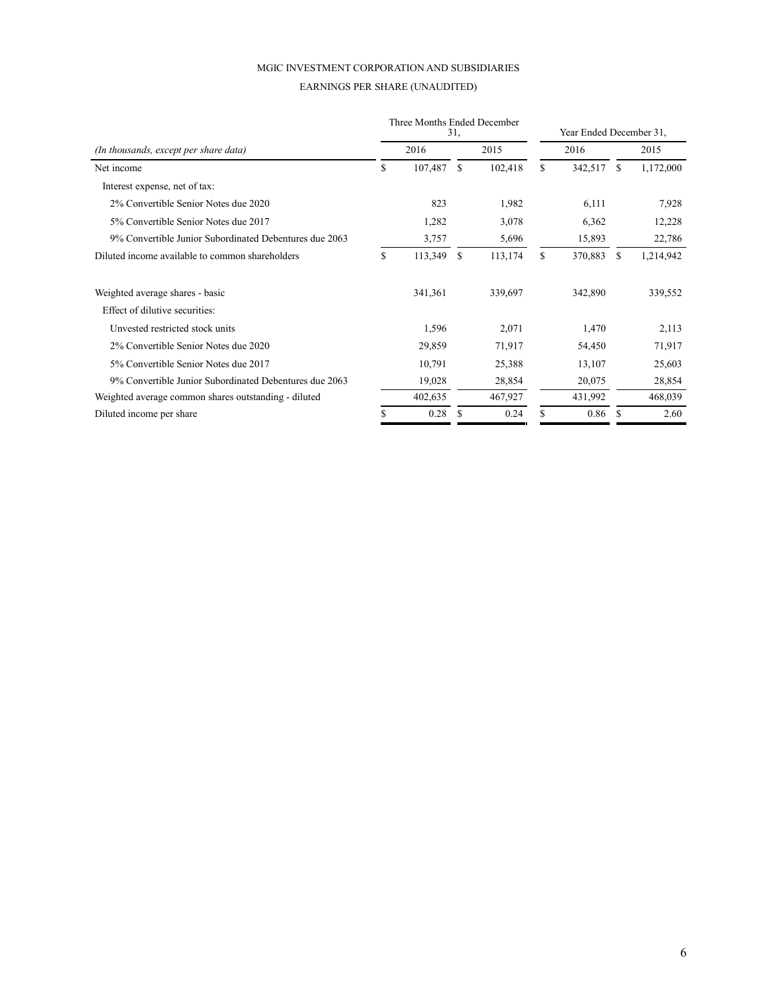# MGIC INVESTMENT CORPORATION AND SUBSIDIARIES

## EARNINGS PER SHARE (UNAUDITED)

|                                                        | Three Months Ended December | Year Ended December 31, |               |         |    |         |   |           |
|--------------------------------------------------------|-----------------------------|-------------------------|---------------|---------|----|---------|---|-----------|
| (In thousands, except per share data)                  | 2016                        |                         |               | 2015    |    | 2016    |   | 2015      |
| Net income                                             | \$                          | 107,487                 | <sup>\$</sup> | 102,418 | \$ | 342,517 | S | 1,172,000 |
| Interest expense, net of tax:                          |                             |                         |               |         |    |         |   |           |
| 2% Convertible Senior Notes due 2020                   |                             | 823                     |               | 1,982   |    | 6,111   |   | 7,928     |
| 5% Convertible Senior Notes due 2017                   |                             | 1,282                   |               | 3,078   |    | 6,362   |   | 12,228    |
| 9% Convertible Junior Subordinated Debentures due 2063 |                             | 3,757                   |               | 5,696   |    | 15,893  |   | 22,786    |
| Diluted income available to common shareholders        | \$                          | 113,349                 | <sup>\$</sup> | 113,174 | S. | 370,883 | S | 1,214,942 |
| Weighted average shares - basic                        |                             | 341,361                 |               | 339,697 |    | 342,890 |   | 339,552   |
| Effect of dilutive securities:                         |                             |                         |               |         |    |         |   |           |
| Unvested restricted stock units                        |                             | 1,596                   |               | 2,071   |    | 1,470   |   | 2,113     |
| 2% Convertible Senior Notes due 2020                   |                             | 29,859                  |               | 71,917  |    | 54,450  |   | 71,917    |
| 5% Convertible Senior Notes due 2017                   |                             | 10,791                  |               | 25,388  |    | 13,107  |   | 25,603    |
| 9% Convertible Junior Subordinated Debentures due 2063 |                             | 19,028                  |               | 28,854  |    | 20,075  |   | 28,854    |
| Weighted average common shares outstanding - diluted   |                             | 402,635                 |               | 467,927 |    | 431,992 |   | 468,039   |
| Diluted income per share                               |                             | 0.28                    | S             | 0.24    | S  | 0.86    | S | 2.60      |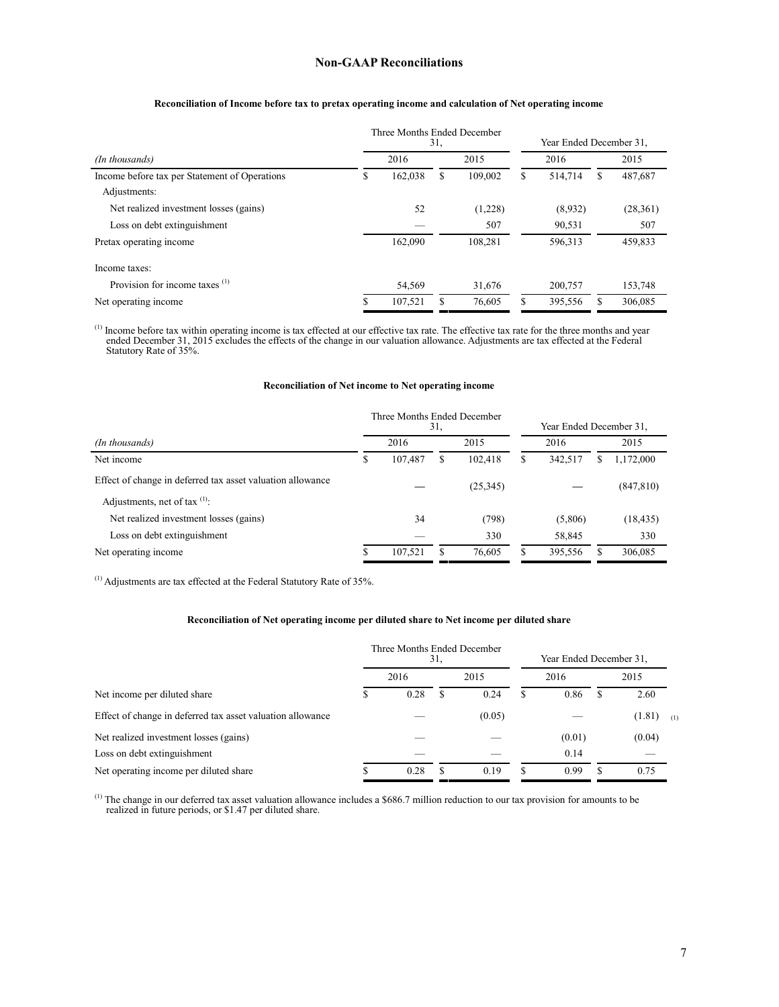## **Non-GAAP Reconciliations**

|                                               |      | Three Months Ended December | 31,  | Year Ended December 31. |      |         |    |          |  |
|-----------------------------------------------|------|-----------------------------|------|-------------------------|------|---------|----|----------|--|
| (In thousands)                                | 2016 |                             | 2015 |                         | 2016 |         |    | 2015     |  |
| Income before tax per Statement of Operations | ъ    | 162,038                     | S    | 109,002                 | S    | 514,714 | S. | 487,687  |  |
| Adjustments:                                  |      |                             |      |                         |      |         |    |          |  |
| Net realized investment losses (gains)        |      | 52                          |      | (1,228)                 |      | (8,932) |    | (28,361) |  |
| Loss on debt extinguishment                   |      |                             |      | 507                     |      | 90,531  |    | 507      |  |
| Pretax operating income                       |      | 162,090                     |      | 108.281                 |      | 596,313 |    | 459,833  |  |
| Income taxes:                                 |      |                             |      |                         |      |         |    |          |  |
| Provision for income taxes $(1)$              |      | 54,569                      |      | 31,676                  |      | 200,757 |    | 153,748  |  |
| Net operating income.                         |      | 107.521                     |      | 76.605                  | S    | 395,556 |    | 306.085  |  |

#### **Reconciliation of Income before tax to pretax operating income and calculation of Net operating income**

<sup>(1)</sup> Income before tax within operating income is tax effected at our effective tax rate. The effective tax rate for the three months and year ended December 31, 2015 excludes the effects of the change in our valuation a Statutory Rate of 35%.

#### **Reconciliation of Net income to Net operating income**

|                                                            |     | Three Months Ended December | 31. |          | Year Ended December 31. |         |   |            |  |
|------------------------------------------------------------|-----|-----------------------------|-----|----------|-------------------------|---------|---|------------|--|
| (In thousands)                                             |     | 2016                        |     | 2015     | 2016                    |         |   | 2015       |  |
| Net income                                                 | S   | 107,487                     | S   | 102.418  | \$                      | 342,517 | У | 1,172,000  |  |
| Effect of change in deferred tax asset valuation allowance |     |                             |     | (25,345) |                         |         |   | (847, 810) |  |
| Adjustments, net of tax $(1)$ :                            |     |                             |     |          |                         |         |   |            |  |
| Net realized investment losses (gains)                     |     | 34                          |     | (798)    |                         | (5,806) |   | (18, 435)  |  |
| Loss on debt extinguishment                                |     |                             |     | 330      |                         | 58,845  |   | 330        |  |
| Net operating income                                       | ۰D. | 107,521                     | S   | 76,605   | \$                      | 395,556 | S | 306,085    |  |

(1) Adjustments are tax effected at the Federal Statutory Rate of 35%.

#### **Reconciliation of Net operating income per diluted share to Net income per diluted share**

|                                                            |      | 31.  | Three Months Ended December | Year Ended December 31. |        |      |        |     |  |
|------------------------------------------------------------|------|------|-----------------------------|-------------------------|--------|------|--------|-----|--|
|                                                            | 2016 | 2015 |                             | 2016                    |        | 2015 |        |     |  |
| Net income per diluted share                               | 0.28 | S    | 0.24                        |                         | 0.86   |      | 2.60   |     |  |
| Effect of change in deferred tax asset valuation allowance |      |      | (0.05)                      |                         |        |      | (1.81) | (1) |  |
| Net realized investment losses (gains)                     |      |      |                             |                         | (0.01) |      | (0.04) |     |  |
| Loss on debt extinguishment                                |      |      |                             |                         | 0.14   |      |        |     |  |
| Net operating income per diluted share                     | 0.28 | S    | 0.19                        | S                       | 0.99   |      | 0.75   |     |  |

 $(1)$  The change in our deferred tax asset valuation allowance includes a \$686.7 million reduction to our tax provision for amounts to be realized in future periods, or \$1.47 per diluted share.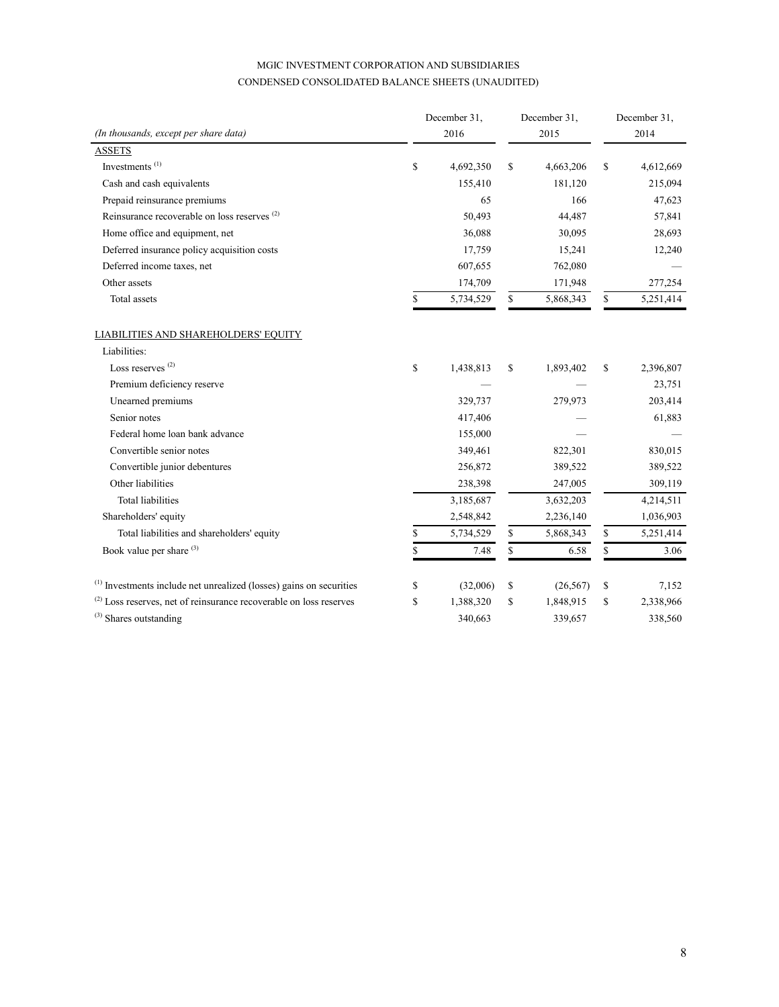## MGIC INVESTMENT CORPORATION AND SUBSIDIARIES CONDENSED CONSOLIDATED BALANCE SHEETS (UNAUDITED)

|                                                                                | December 31,    | December 31,    | December 31,    |
|--------------------------------------------------------------------------------|-----------------|-----------------|-----------------|
| (In thousands, except per share data)                                          | 2016            | 2015            | 2014            |
| <b>ASSETS</b>                                                                  |                 |                 |                 |
| Investments $(1)$                                                              | \$<br>4,692,350 | \$<br>4,663,206 | \$<br>4,612,669 |
| Cash and cash equivalents                                                      | 155,410         | 181,120         | 215,094         |
| Prepaid reinsurance premiums                                                   | 65              | 166             | 47,623          |
| Reinsurance recoverable on loss reserves <sup>(2)</sup>                        | 50,493          | 44,487          | 57,841          |
| Home office and equipment, net                                                 | 36,088          | 30,095          | 28,693          |
| Deferred insurance policy acquisition costs                                    | 17,759          | 15,241          | 12,240          |
| Deferred income taxes, net                                                     | 607,655         | 762,080         |                 |
| Other assets                                                                   | 174,709         | 171,948         | 277,254         |
| Total assets                                                                   | \$<br>5,734,529 | \$<br>5,868,343 | \$<br>5,251,414 |
| LIABILITIES AND SHAREHOLDERS' EQUITY                                           |                 |                 |                 |
| Liabilities:                                                                   |                 |                 |                 |
| Loss reserves <sup>(2)</sup>                                                   | \$<br>1,438,813 | \$<br>1,893,402 | \$<br>2,396,807 |
| Premium deficiency reserve                                                     |                 |                 | 23,751          |
| Unearned premiums                                                              | 329,737         | 279,973         | 203,414         |
| Senior notes                                                                   | 417,406         |                 | 61,883          |
| Federal home loan bank advance                                                 | 155,000         |                 |                 |
| Convertible senior notes                                                       | 349,461         | 822,301         | 830,015         |
| Convertible junior debentures                                                  | 256,872         | 389,522         | 389,522         |
| Other liabilities                                                              | 238,398         | 247,005         | 309,119         |
| <b>Total liabilities</b>                                                       | 3,185,687       | 3,632,203       | 4,214,511       |
| Shareholders' equity                                                           | 2,548,842       | 2,236,140       | 1,036,903       |
| Total liabilities and shareholders' equity                                     | \$<br>5,734,529 | \$<br>5,868,343 | \$<br>5,251,414 |
| Book value per share <sup>(3)</sup>                                            | \$<br>7.48      | \$<br>6.58      | \$<br>3.06      |
| <sup>(1)</sup> Investments include net unrealized (losses) gains on securities | \$<br>(32,006)  | \$<br>(26, 567) | \$<br>7,152     |
| (2) Loss reserves, net of reinsurance recoverable on loss reserves             | \$<br>1,388,320 | \$<br>1,848,915 | \$<br>2,338,966 |
| $^{(3)}$ Shares outstanding                                                    | 340.663         | 339,657         | 338,560         |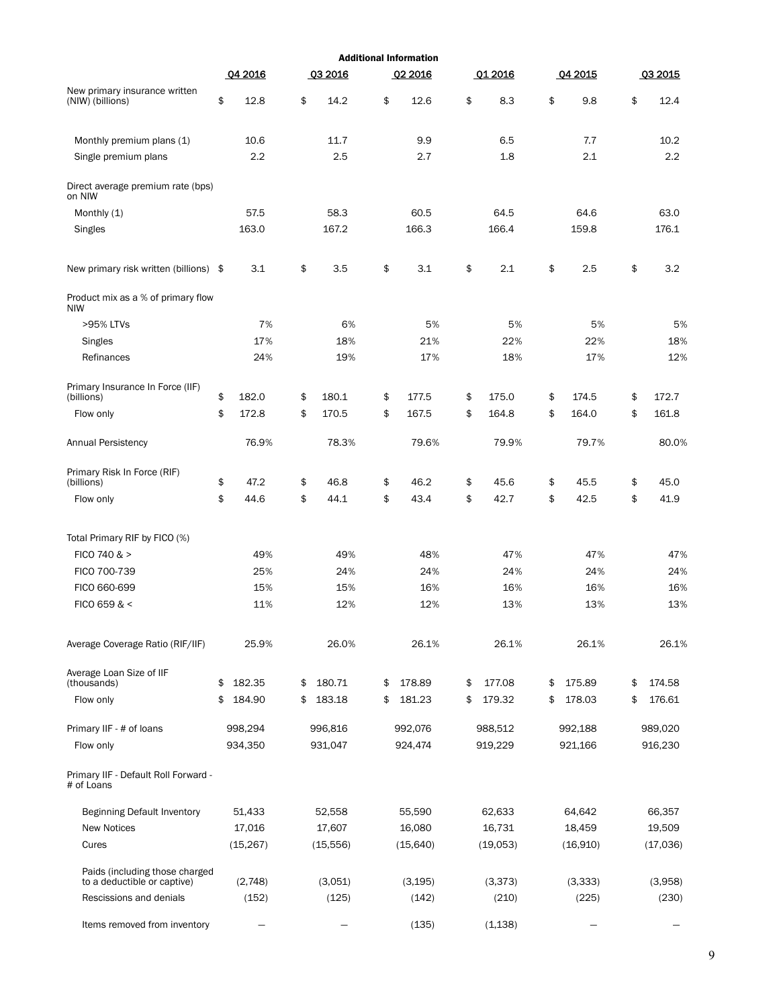|                                                               |              |              | <b>Additional Information</b> |              |              |         |          |  |
|---------------------------------------------------------------|--------------|--------------|-------------------------------|--------------|--------------|---------|----------|--|
|                                                               | 04 2016      | Q3 2016      | 02 2016                       | 01 2016      | 04 2015      | Q3 2015 |          |  |
| New primary insurance written<br>(NIW) (billions)             | \$<br>12.8   | \$<br>14.2   | \$<br>12.6                    | \$<br>8.3    | \$<br>9.8    | \$      | 12.4     |  |
| Monthly premium plans (1)                                     | 10.6         | 11.7         | 9.9                           | 6.5          | 7.7          |         | 10.2     |  |
| Single premium plans                                          | 2.2          | 2.5          | 2.7                           | 1.8          | 2.1          |         | 2.2      |  |
| Direct average premium rate (bps)<br>on NIW                   |              |              |                               |              |              |         |          |  |
| Monthly (1)                                                   | 57.5         | 58.3         | 60.5                          | 64.5         | 64.6         |         | 63.0     |  |
| Singles                                                       | 163.0        | 167.2        | 166.3                         | 166.4        | 159.8        |         | 176.1    |  |
| New primary risk written (billions) \$                        | 3.1          | \$<br>3.5    | \$<br>3.1                     | \$<br>2.1    | \$<br>2.5    | \$      | 3.2      |  |
| Product mix as a % of primary flow<br><b>NIW</b>              |              |              |                               |              |              |         |          |  |
| >95% LTVs                                                     | 7%           | 6%           | 5%                            | 5%           | 5%           |         | 5%       |  |
| Singles                                                       | 17%          | 18%          | 21%                           | 22%          | 22%          |         | 18%      |  |
| Refinances                                                    | 24%          | 19%          | 17%                           | 18%          | 17%          |         | 12%      |  |
| Primary Insurance In Force (IIF)<br>(billions)                | \$<br>182.0  | \$<br>180.1  | \$<br>177.5                   | \$<br>175.0  | \$<br>174.5  | \$      | 172.7    |  |
| Flow only                                                     | \$<br>172.8  | \$<br>170.5  | \$<br>167.5                   | \$<br>164.8  | \$<br>164.0  | \$      | 161.8    |  |
| Annual Persistency                                            | 76.9%        | 78.3%        | 79.6%                         | 79.9%        | 79.7%        |         | 80.0%    |  |
| Primary Risk In Force (RIF)<br>(billions)                     | \$<br>47.2   | \$<br>46.8   | \$<br>46.2                    | \$<br>45.6   | \$<br>45.5   | \$      | 45.0     |  |
| Flow only                                                     | \$<br>44.6   | \$<br>44.1   | \$<br>43.4                    | \$<br>42.7   | \$<br>42.5   | \$      | 41.9     |  |
|                                                               |              |              |                               |              |              |         |          |  |
| Total Primary RIF by FICO (%)                                 |              |              |                               |              |              |         |          |  |
| FICO 740 & >                                                  | 49%          | 49%          | 48%                           | 47%          | 47%          |         | 47%      |  |
| FICO 700-739                                                  | 25%          | 24%          | 24%                           | 24%          | 24%          |         | 24%      |  |
| FICO 660-699                                                  | 15%          | 15%          | 16%                           | 16%          | 16%          |         | 16%      |  |
| FICO 659 & <                                                  | 11%          | 12%          | 12%                           | 13%          | 13%          |         | 13%      |  |
| Average Coverage Ratio (RIF/IIF)                              | 25.9%        | 26.0%        | 26.1%                         | 26.1%        | 26.1%        |         | 26.1%    |  |
| Average Loan Size of IIF<br>(thousands)                       | \$<br>182.35 | \$<br>180.71 | \$<br>178.89                  | \$<br>177.08 | \$<br>175.89 | \$      | 174.58   |  |
| Flow only                                                     | \$<br>184.90 | \$<br>183.18 | \$<br>181.23                  | \$<br>179.32 | \$<br>178.03 | \$      | 176.61   |  |
| Primary IIF - # of loans                                      | 998,294      | 996,816      | 992,076                       | 988,512      | 992,188      |         | 989,020  |  |
| Flow only                                                     | 934,350      | 931,047      | 924,474                       | 919,229      | 921,166      |         | 916,230  |  |
| Primary IIF - Default Roll Forward -<br># of Loans            |              |              |                               |              |              |         |          |  |
| Beginning Default Inventory                                   | 51,433       | 52,558       | 55,590                        | 62,633       | 64,642       |         | 66,357   |  |
| <b>New Notices</b>                                            | 17,016       | 17,607       | 16,080                        | 16,731       | 18,459       |         | 19,509   |  |
| Cures                                                         | (15, 267)    | (15, 556)    | (15, 640)                     | (19,053)     | (16,910)     |         | (17,036) |  |
| Paids (including those charged<br>to a deductible or captive) | (2,748)      | (3,051)      | (3, 195)                      | (3,373)      | (3, 333)     |         | (3,958)  |  |
| Rescissions and denials                                       | (152)        | (125)        | (142)                         | (210)        | (225)        |         | (230)    |  |
| Items removed from inventory                                  |              |              | (135)                         | (1, 138)     |              |         |          |  |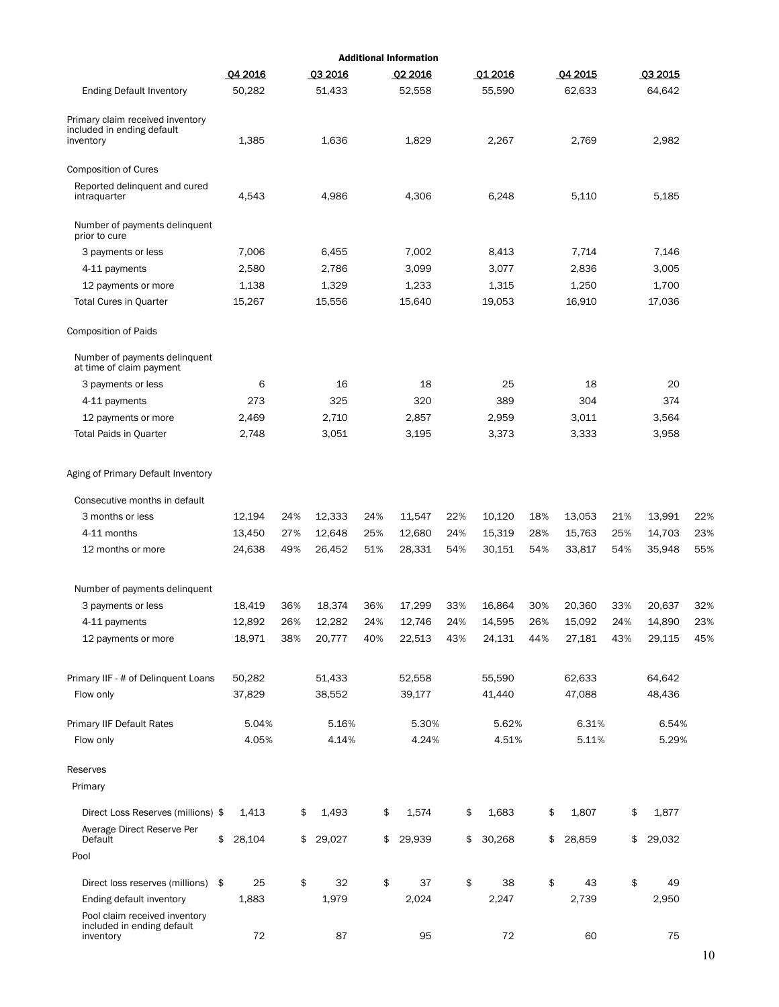| <b>Additional Information</b>                               |              |     |         |     |         |     |         |     |         |     |         |     |
|-------------------------------------------------------------|--------------|-----|---------|-----|---------|-----|---------|-----|---------|-----|---------|-----|
|                                                             | 04 2016      |     | Q3 2016 |     | 02 2016 |     | 01 2016 |     | 04 2015 |     | 03 2015 |     |
| <b>Ending Default Inventory</b>                             | 50,282       |     | 51,433  |     | 52,558  |     | 55,590  |     | 62,633  |     | 64,642  |     |
| Primary claim received inventory                            |              |     |         |     |         |     |         |     |         |     |         |     |
| included in ending default<br>inventory                     | 1,385        |     | 1,636   |     | 1,829   |     | 2,267   |     | 2.769   |     | 2,982   |     |
|                                                             |              |     |         |     |         |     |         |     |         |     |         |     |
| <b>Composition of Cures</b>                                 |              |     |         |     |         |     |         |     |         |     |         |     |
| Reported delinquent and cured<br>intraquarter               | 4,543        |     | 4,986   |     | 4,306   |     | 6,248   |     | 5,110   |     | 5,185   |     |
| Number of payments delinguent<br>prior to cure              |              |     |         |     |         |     |         |     |         |     |         |     |
| 3 payments or less                                          | 7,006        |     | 6,455   |     | 7,002   |     | 8,413   |     | 7,714   |     | 7,146   |     |
| 4-11 payments                                               | 2,580        |     | 2,786   |     | 3,099   |     | 3,077   |     | 2,836   |     | 3,005   |     |
| 12 payments or more                                         | 1,138        |     | 1,329   |     | 1,233   |     | 1,315   |     | 1,250   |     | 1,700   |     |
| <b>Total Cures in Quarter</b>                               | 15,267       |     | 15,556  |     | 15,640  |     | 19,053  |     | 16,910  |     | 17,036  |     |
| Composition of Paids                                        |              |     |         |     |         |     |         |     |         |     |         |     |
| Number of payments delinquent<br>at time of claim payment   |              |     |         |     |         |     |         |     |         |     |         |     |
| 3 payments or less                                          | 6            |     | 16      |     | 18      |     | 25      |     | 18      |     | 20      |     |
| 4-11 payments                                               | 273          |     | 325     |     | 320     |     | 389     |     | 304     |     | 374     |     |
| 12 payments or more                                         | 2,469        |     | 2,710   |     | 2,857   |     | 2,959   |     | 3,011   |     | 3,564   |     |
| <b>Total Paids in Quarter</b>                               | 2,748        |     | 3,051   |     | 3,195   |     | 3,373   |     | 3,333   |     | 3,958   |     |
| Aging of Primary Default Inventory                          |              |     |         |     |         |     |         |     |         |     |         |     |
| Consecutive months in default                               |              |     |         |     |         |     |         |     |         |     |         |     |
| 3 months or less                                            | 12,194       | 24% | 12,333  | 24% | 11,547  | 22% | 10,120  | 18% | 13,053  | 21% | 13,991  | 22% |
| 4-11 months                                                 | 13,450       | 27% | 12,648  | 25% | 12,680  | 24% | 15,319  | 28% | 15,763  | 25% | 14,703  | 23% |
| 12 months or more                                           | 24,638       | 49% | 26,452  | 51% | 28,331  | 54% | 30,151  | 54% | 33,817  | 54% | 35,948  | 55% |
| Number of payments delinquent                               |              |     |         |     |         |     |         |     |         |     |         |     |
| 3 payments or less                                          | 18,419       | 36% | 18,374  | 36% | 17,299  | 33% | 16,864  | 30% | 20,360  | 33% | 20,637  | 32% |
| 4-11 payments                                               | 12.892       | 26% | 12,282  | 24% | 12,746  | 24% | 14,595  | 26% | 15,092  | 24% | 14,890  | 23% |
| 12 payments or more                                         | 18,971       | 38% | 20,777  | 40% | 22,513  | 43% | 24,131  | 44% | 27,181  | 43% | 29,115  | 45% |
|                                                             |              |     |         |     |         |     |         |     |         |     |         |     |
| Primary IIF - # of Delinguent Loans                         | 50,282       |     | 51,433  |     | 52,558  |     | 55,590  |     | 62,633  |     | 64,642  |     |
| Flow only                                                   | 37,829       |     | 38,552  |     | 39,177  |     | 41,440  |     | 47,088  |     | 48,436  |     |
| Primary IIF Default Rates                                   | 5.04%        |     | 5.16%   |     | 5.30%   |     | 5.62%   |     | 6.31%   |     | 6.54%   |     |
| Flow only                                                   | 4.05%        |     | 4.14%   |     | 4.24%   |     | 4.51%   |     | 5.11%   |     | 5.29%   |     |
| Reserves<br>Primary                                         |              |     |         |     |         |     |         |     |         |     |         |     |
| Direct Loss Reserves (millions) \$                          | 1,413        | \$  | 1,493   | \$  | 1,574   | \$  | 1,683   | \$  | 1,807   | \$  | 1,877   |     |
| Average Direct Reserve Per                                  |              |     |         |     |         |     |         |     |         |     |         |     |
| Default                                                     | \$<br>28,104 | \$  | 29,027  | \$  | 29,939  | \$  | 30,268  | \$  | 28,859  | \$  | 29,032  |     |
| Pool                                                        |              |     |         |     |         |     |         |     |         |     |         |     |
| Direct loss reserves (millions)<br>\$                       | 25           | \$  | 32      | \$  | 37      | \$  | 38      | \$  | 43      | \$  | 49      |     |
| Ending default inventory                                    | 1,883        |     | 1,979   |     | 2,024   |     | 2,247   |     | 2,739   |     | 2,950   |     |
| Pool claim received inventory<br>included in ending default |              |     |         |     |         |     |         |     |         |     |         |     |
| inventory                                                   | 72           |     | 87      |     | 95      |     | 72      |     | 60      |     | 75      |     |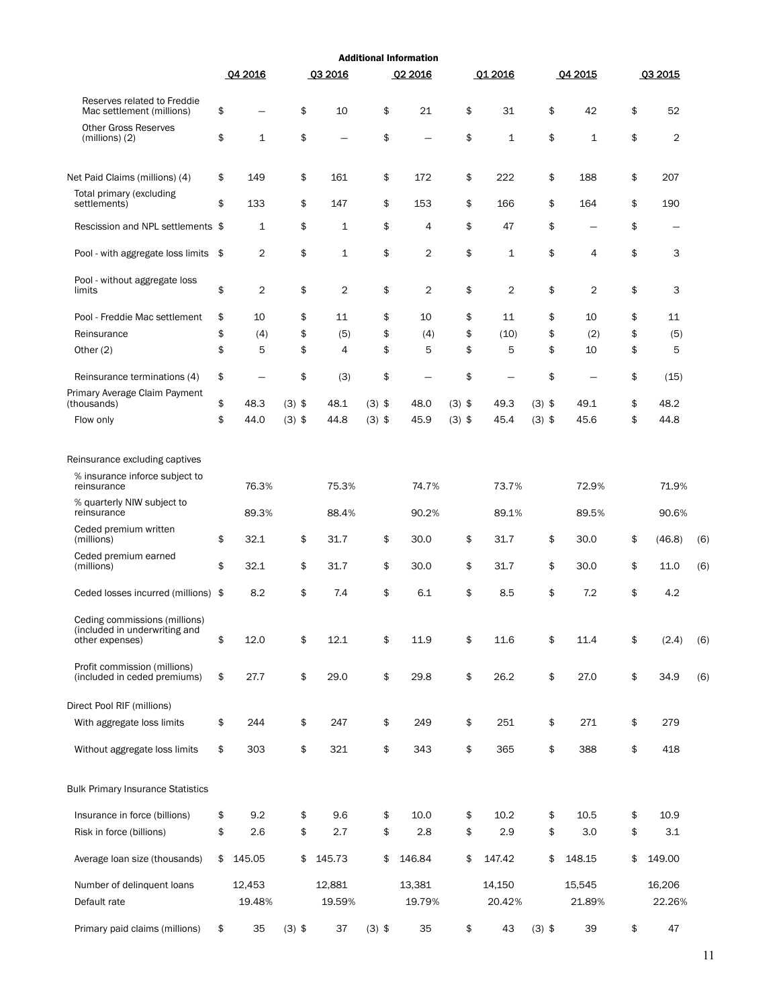|                                                              |     |                          |          |                          |          | <b>Additional Information</b> |          |                          |          |                  |                                |     |
|--------------------------------------------------------------|-----|--------------------------|----------|--------------------------|----------|-------------------------------|----------|--------------------------|----------|------------------|--------------------------------|-----|
|                                                              |     | Q4 2016                  |          | 03 2016                  |          | 02 2016                       |          | 01 2016                  |          | 04 2015          | 03 2015                        |     |
| Reserves related to Freddie<br>Mac settlement (millions)     | \$  | $\overline{\phantom{0}}$ | \$       | 10                       | \$       | 21                            | \$       | 31                       | \$       | 42               | \$<br>52                       |     |
| <b>Other Gross Reserves</b><br>$(millions)$ (2)              | \$  | $\mathbf{1}$             | \$       | $\overline{\phantom{0}}$ | \$       | $\overline{\phantom{0}}$      | \$       | $\mathbf 1$              | \$       | $\mathbf 1$      | \$<br>$\overline{2}$           |     |
| Net Paid Claims (millions) (4)                               | \$  | 149                      | \$       | 161                      | \$       | 172                           | \$       | 222                      | \$       | 188              | \$<br>207                      |     |
| Total primary (excluding<br>settlements)                     | \$  | 133                      | \$       | 147                      | \$       | 153                           | \$       | 166                      | \$       | 164              | \$<br>190                      |     |
| Rescission and NPL settlements \$                            |     | 1                        | \$       | 1                        | \$       | 4                             | \$       | 47                       | \$       |                  | \$<br>$\overline{\phantom{0}}$ |     |
| Pool - with aggregate loss limits                            | -\$ | 2                        | \$       | 1                        | \$       | $\overline{c}$                | \$       | 1                        | \$       | 4                | \$<br>3                        |     |
| Pool - without aggregate loss<br>limits                      | \$  | $\overline{2}$           | \$       | $\overline{2}$           | \$       | $\overline{2}$                | \$       | $\overline{2}$           | \$       | $\overline{c}$   | \$<br>3                        |     |
| Pool - Freddie Mac settlement                                | \$  | 10                       | \$       | 11                       | \$       | 10                            | \$       | 11                       | \$       | 10               | \$<br>11                       |     |
| Reinsurance                                                  | \$  | (4)                      | \$       | (5)                      | \$       | (4)                           | \$       | (10)                     | \$       | (2)              | \$<br>(5)                      |     |
| Other $(2)$                                                  | \$  | 5                        | \$       | 4                        | \$       | 5                             | \$       | 5                        | \$       | 10               | \$<br>5                        |     |
| Reinsurance terminations (4)                                 | \$  |                          | \$       | (3)                      | \$       | $\overline{\phantom{0}}$      | \$       | $\overline{\phantom{0}}$ | \$       |                  | \$<br>(15)                     |     |
| Primary Average Claim Payment<br>(thousands)                 | \$  | 48.3                     | $(3)$ \$ | 48.1                     | $(3)$ \$ | 48.0                          | $(3)$ \$ | 49.3                     | $(3)$ \$ | 49.1             | \$<br>48.2                     |     |
| Flow only                                                    | \$  | 44.0                     | $(3)$ \$ | 44.8                     | $(3)$ \$ | 45.9                          | $(3)$ \$ | 45.4                     | $(3)$ \$ | 45.6             | \$<br>44.8                     |     |
| Reinsurance excluding captives                               |     |                          |          |                          |          |                               |          |                          |          |                  |                                |     |
| % insurance inforce subject to<br>reinsurance                |     | 76.3%                    |          | 75.3%                    |          | 74.7%                         |          | 73.7%                    |          | 72.9%            | 71.9%                          |     |
| % quarterly NIW subject to<br>reinsurance                    |     | 89.3%                    |          | 88.4%                    |          | 90.2%                         |          | 89.1%                    |          | 89.5%            | 90.6%                          |     |
| Ceded premium written<br>(millions)                          | \$  | 32.1                     | \$       | 31.7                     | \$       | 30.0                          | \$       | 31.7                     | \$       | 30.0             | \$<br>(46.8)                   | (6) |
| Ceded premium earned<br>(millions)                           | \$  | 32.1                     | \$       | 31.7                     | \$       | 30.0                          | \$       | 31.7                     | \$       | 30.0             | \$<br>11.0                     | (6) |
| Ceded losses incurred (millions) \$                          |     | 8.2                      | \$       | 7.4                      | \$       | 6.1                           | \$       | 8.5                      | \$       | 7.2              | \$<br>4.2                      |     |
| Ceding commissions (millions)                                |     |                          |          |                          |          |                               |          |                          |          |                  |                                |     |
| (included in underwriting and<br>other expenses)             | \$  | 12.0                     | \$       | 12.1                     | \$       | 11.9                          | \$       | 11.6                     | \$       | 11.4             | \$<br>(2.4)                    | (6) |
| Profit commission (millions)<br>(included in ceded premiums) | \$  | 27.7                     | \$       | 29.0                     | \$       | 29.8                          | \$       | 26.2                     | \$       | 27.0             | \$<br>34.9                     | (6) |
| Direct Pool RIF (millions)                                   |     |                          |          |                          |          |                               |          |                          |          |                  |                                |     |
| With aggregate loss limits                                   | \$  | 244                      | \$       | 247                      | \$       | 249                           | \$       | 251                      | \$       | 271              | \$<br>279                      |     |
| Without aggregate loss limits                                | \$  | 303                      | \$       | 321                      | \$       | 343                           | \$       | 365                      | \$       | 388              | \$<br>418                      |     |
| <b>Bulk Primary Insurance Statistics</b>                     |     |                          |          |                          |          |                               |          |                          |          |                  |                                |     |
| Insurance in force (billions)                                | \$  | 9.2                      | \$       | 9.6                      | \$       | 10.0                          | \$       | 10.2                     | \$       | 10.5             | \$<br>10.9                     |     |
| Risk in force (billions)                                     | \$  | 2.6                      | \$       | 2.7                      | \$       | 2.8                           | \$       | 2.9                      | \$       | 3.0              | \$<br>3.1                      |     |
| Average Ioan size (thousands)                                | \$  | 145.05                   | \$       | 145.73                   | \$       | 146.84                        | \$       | 147.42                   | \$       | 148.15           | \$<br>149.00                   |     |
| Number of delinquent loans<br>Default rate                   |     | 12,453<br>19.48%         |          | 12,881<br>19.59%         |          | 13,381<br>19.79%              |          | 14,150<br>20.42%         |          | 15,545<br>21.89% | 16,206<br>22.26%               |     |
| Primary paid claims (millions)                               | \$  | 35                       | $(3)$ \$ | 37                       | $(3)$ \$ | 35                            | \$       | 43                       | $(3)$ \$ | 39               | \$<br>47                       |     |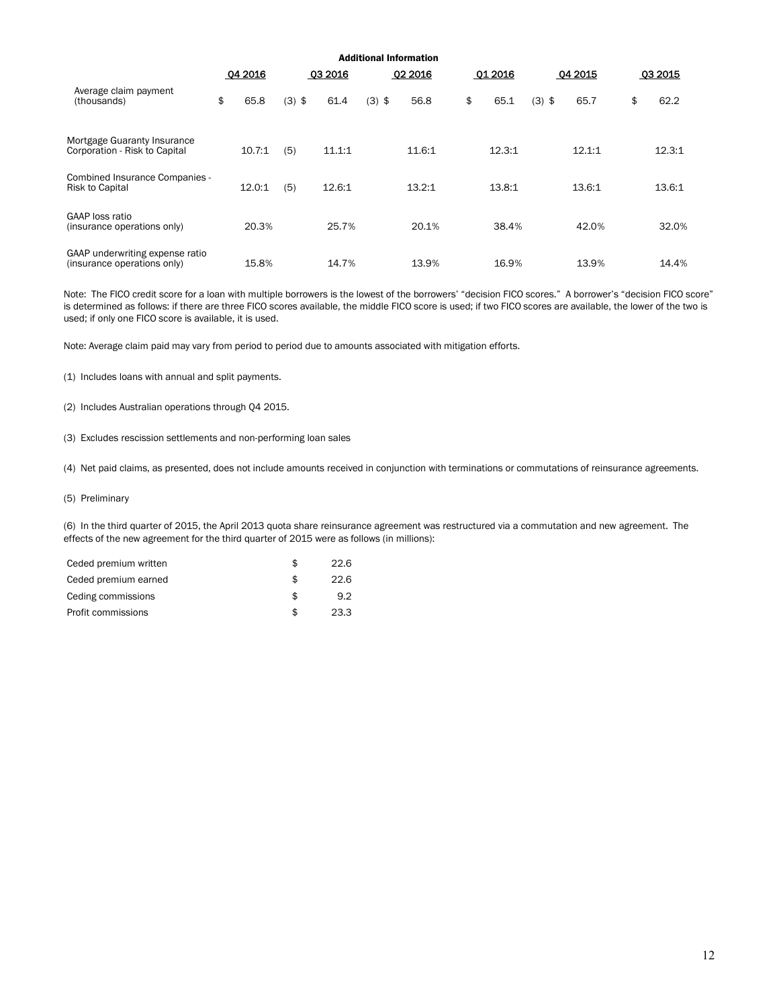|                                                                |                                          |        |          |        |          | <b>Additional Information</b> |    |        |          |         |    |         |
|----------------------------------------------------------------|------------------------------------------|--------|----------|--------|----------|-------------------------------|----|--------|----------|---------|----|---------|
|                                                                | 04 2016<br>03 2016<br>02 2016<br>01 2016 |        |          |        |          |                               |    |        |          | 04 2015 |    | 03 2015 |
| Average claim payment<br>(thousands)                           | \$                                       | 65.8   | $(3)$ \$ | 61.4   | $(3)$ \$ | 56.8                          | \$ | 65.1   | $(3)$ \$ | 65.7    | \$ | 62.2    |
| Mortgage Guaranty Insurance<br>Corporation - Risk to Capital   |                                          | 10.7:1 | (5)      | 11.1:1 |          | 11.6:1                        |    | 12.3:1 |          | 12.1:1  |    | 12.3:1  |
| Combined Insurance Companies -<br>Risk to Capital              |                                          | 12.0:1 | (5)      | 12.6:1 |          | 13.2:1                        |    | 13.8:1 |          | 13.6:1  |    | 13.6:1  |
| GAAP loss ratio<br>(insurance operations only)                 |                                          | 20.3%  |          | 25.7%  |          | 20.1%                         |    | 38.4%  |          | 42.0%   |    | 32.0%   |
| GAAP underwriting expense ratio<br>(insurance operations only) |                                          | 15.8%  |          | 14.7%  |          | 13.9%                         |    | 16.9%  |          | 13.9%   |    | 14.4%   |

Note: The FICO credit score for a loan with multiple borrowers is the lowest of the borrowers' "decision FICO scores." A borrower's "decision FICO score" is determined as follows: if there are three FICO scores available, the middle FICO score is used; if two FICO scores are available, the lower of the two is used; if only one FICO score is available, it is used.

Note: Average claim paid may vary from period to period due to amounts associated with mitigation efforts.

(1) Includes loans with annual and split payments.

- (2) Includes Australian operations through Q4 2015.
- (3) Excludes rescission settlements and non-performing loan sales

(4) Net paid claims, as presented, does not include amounts received in conjunction with terminations or commutations of reinsurance agreements.

(5) Preliminary

(6) In the third quarter of 2015, the April 2013 quota share reinsurance agreement was restructured via a commutation and new agreement. The effects of the new agreement for the third quarter of 2015 were as follows (in millions):

| Ceded premium written |    | 22.6 |
|-----------------------|----|------|
| Ceded premium earned  |    | 22.6 |
| Ceding commissions    | .ፍ | 9.2  |
| Profit commissions    |    | 23.3 |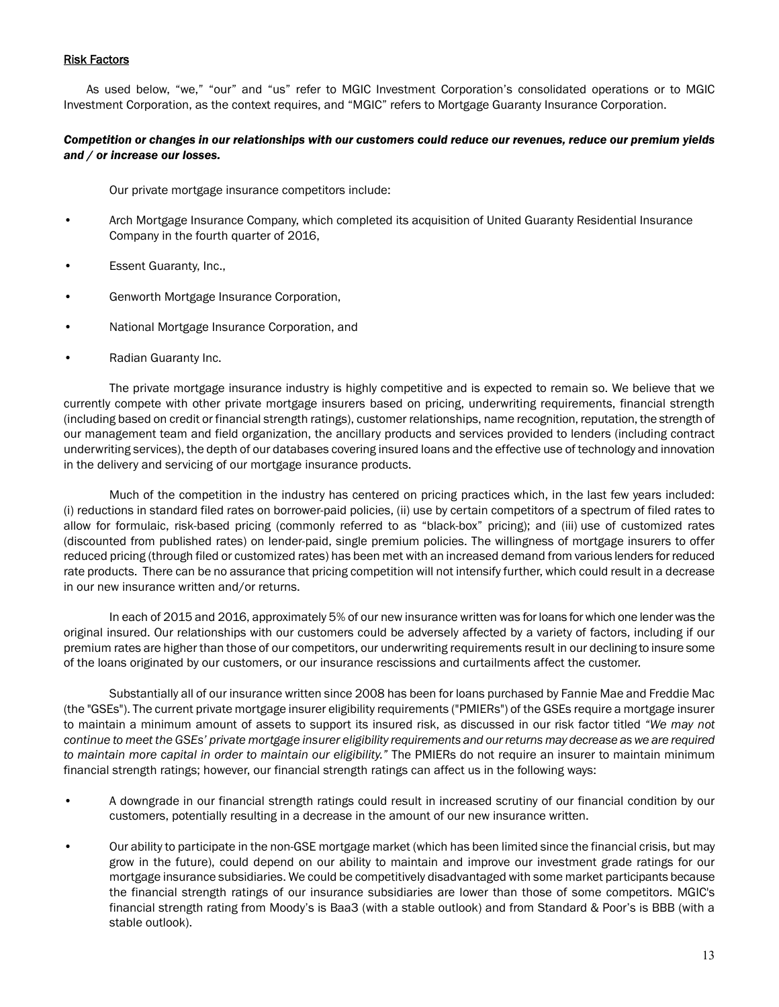## Risk Factors

As used below, "we," "our" and "us" refer to MGIC Investment Corporation's consolidated operations or to MGIC Investment Corporation, as the context requires, and "MGIC" refers to Mortgage Guaranty Insurance Corporation.

## *Competition or changes in our relationships with our customers could reduce our revenues, reduce our premium yields and / or increase our losses.*

Our private mortgage insurance competitors include:

- Arch Mortgage Insurance Company, which completed its acquisition of United Guaranty Residential Insurance Company in the fourth quarter of 2016,
- Essent Guaranty, Inc.,
- Genworth Mortgage Insurance Corporation,
- National Mortgage Insurance Corporation, and
- Radian Guaranty Inc.

The private mortgage insurance industry is highly competitive and is expected to remain so. We believe that we currently compete with other private mortgage insurers based on pricing, underwriting requirements, financial strength (including based on credit or financial strength ratings), customer relationships, name recognition, reputation, the strength of our management team and field organization, the ancillary products and services provided to lenders (including contract underwriting services), the depth of our databases covering insured loans and the effective use of technology and innovation in the delivery and servicing of our mortgage insurance products.

Much of the competition in the industry has centered on pricing practices which, in the last few years included: (i) reductions in standard filed rates on borrower-paid policies, (ii) use by certain competitors of a spectrum of filed rates to allow for formulaic, risk-based pricing (commonly referred to as "black-box" pricing); and (iii) use of customized rates (discounted from published rates) on lender-paid, single premium policies. The willingness of mortgage insurers to offer reduced pricing (through filed or customized rates) has been met with an increased demand from various lenders for reduced rate products. There can be no assurance that pricing competition will not intensify further, which could result in a decrease in our new insurance written and/or returns.

In each of 2015 and 2016, approximately 5% of our new insurance written was for loans for which one lender was the original insured. Our relationships with our customers could be adversely affected by a variety of factors, including if our premium rates are higher than those of our competitors, our underwriting requirements result in our declining to insure some of the loans originated by our customers, or our insurance rescissions and curtailments affect the customer.

Substantially all of our insurance written since 2008 has been for loans purchased by Fannie Mae and Freddie Mac (the "GSEs"). The current private mortgage insurer eligibility requirements ("PMIERs") of the GSEs require a mortgage insurer to maintain a minimum amount of assets to support its insured risk, as discussed in our risk factor titled *"We may not continue to meet the GSEs' private mortgage insurer eligibility requirements and our returns may decrease as we are required to maintain more capital in order to maintain our eligibility."* The PMIERs do not require an insurer to maintain minimum financial strength ratings; however, our financial strength ratings can affect us in the following ways:

- A downgrade in our financial strength ratings could result in increased scrutiny of our financial condition by our customers, potentially resulting in a decrease in the amount of our new insurance written.
- Our ability to participate in the non-GSE mortgage market (which has been limited since the financial crisis, but may grow in the future), could depend on our ability to maintain and improve our investment grade ratings for our mortgage insurance subsidiaries. We could be competitively disadvantaged with some market participants because the financial strength ratings of our insurance subsidiaries are lower than those of some competitors. MGIC's financial strength rating from Moody's is Baa3 (with a stable outlook) and from Standard & Poor's is BBB (with a stable outlook).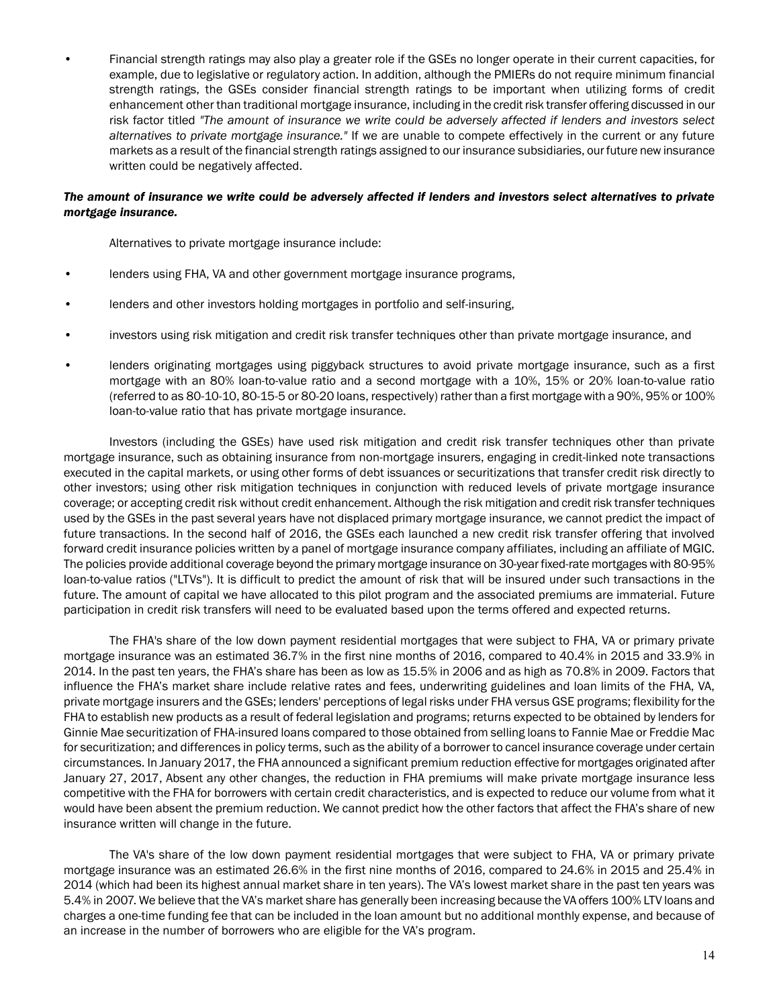• Financial strength ratings may also play a greater role if the GSEs no longer operate in their current capacities, for example, due to legislative or regulatory action. In addition, although the PMIERs do not require minimum financial strength ratings, the GSEs consider financial strength ratings to be important when utilizing forms of credit enhancement other than traditional mortgage insurance, including in the credit risk transfer offering discussed in our risk factor titled *"The amount of insurance we write could be adversely affected if lenders and investors select alternatives to private mortgage insurance."* If we are unable to compete effectively in the current or any future markets as a result of the financial strength ratings assigned to our insurance subsidiaries, our future new insurance written could be negatively affected.

#### *The amount of insurance we write could be adversely affected if lenders and investors select alternatives to private mortgage insurance.*

Alternatives to private mortgage insurance include:

- lenders using FHA, VA and other government mortgage insurance programs,
- lenders and other investors holding mortgages in portfolio and self-insuring,
- investors using risk mitigation and credit risk transfer techniques other than private mortgage insurance, and
- lenders originating mortgages using piggyback structures to avoid private mortgage insurance, such as a first mortgage with an 80% loan-to-value ratio and a second mortgage with a 10%, 15% or 20% loan-to-value ratio (referred to as 80-10-10, 80-15-5 or 80-20 loans, respectively) rather than a first mortgage with a 90%, 95% or 100% loan-to-value ratio that has private mortgage insurance.

Investors (including the GSEs) have used risk mitigation and credit risk transfer techniques other than private mortgage insurance, such as obtaining insurance from non-mortgage insurers, engaging in credit-linked note transactions executed in the capital markets, or using other forms of debt issuances or securitizations that transfer credit risk directly to other investors; using other risk mitigation techniques in conjunction with reduced levels of private mortgage insurance coverage; or accepting credit risk without credit enhancement. Although the risk mitigation and credit risk transfer techniques used by the GSEs in the past several years have not displaced primary mortgage insurance, we cannot predict the impact of future transactions. In the second half of 2016, the GSEs each launched a new credit risk transfer offering that involved forward credit insurance policies written by a panel of mortgage insurance company affiliates, including an affiliate of MGIC. The policies provide additional coverage beyond the primary mortgage insurance on 30-year fixed-rate mortgages with 80-95% loan-to-value ratios ("LTVs"). It is difficult to predict the amount of risk that will be insured under such transactions in the future. The amount of capital we have allocated to this pilot program and the associated premiums are immaterial. Future participation in credit risk transfers will need to be evaluated based upon the terms offered and expected returns.

The FHA's share of the low down payment residential mortgages that were subject to FHA, VA or primary private mortgage insurance was an estimated 36.7% in the first nine months of 2016, compared to 40.4% in 2015 and 33.9% in 2014. In the past ten years, the FHA's share has been as low as 15.5% in 2006 and as high as 70.8% in 2009. Factors that influence the FHA's market share include relative rates and fees, underwriting guidelines and loan limits of the FHA, VA, private mortgage insurers and the GSEs; lenders' perceptions of legal risks under FHA versus GSE programs; flexibility for the FHA to establish new products as a result of federal legislation and programs; returns expected to be obtained by lenders for Ginnie Mae securitization of FHA-insured loans compared to those obtained from selling loans to Fannie Mae or Freddie Mac for securitization; and differences in policy terms, such as the ability of a borrower to cancel insurance coverage under certain circumstances. In January 2017, the FHA announced a significant premium reduction effective for mortgages originated after January 27, 2017, Absent any other changes, the reduction in FHA premiums will make private mortgage insurance less competitive with the FHA for borrowers with certain credit characteristics, and is expected to reduce our volume from what it would have been absent the premium reduction. We cannot predict how the other factors that affect the FHA's share of new insurance written will change in the future.

The VA's share of the low down payment residential mortgages that were subject to FHA, VA or primary private mortgage insurance was an estimated 26.6% in the first nine months of 2016, compared to 24.6% in 2015 and 25.4% in 2014 (which had been its highest annual market share in ten years). The VA's lowest market share in the past ten years was 5.4% in 2007. We believe that the VA's market share has generally been increasing because the VA offers 100% LTV loans and charges a one-time funding fee that can be included in the loan amount but no additional monthly expense, and because of an increase in the number of borrowers who are eligible for the VA's program.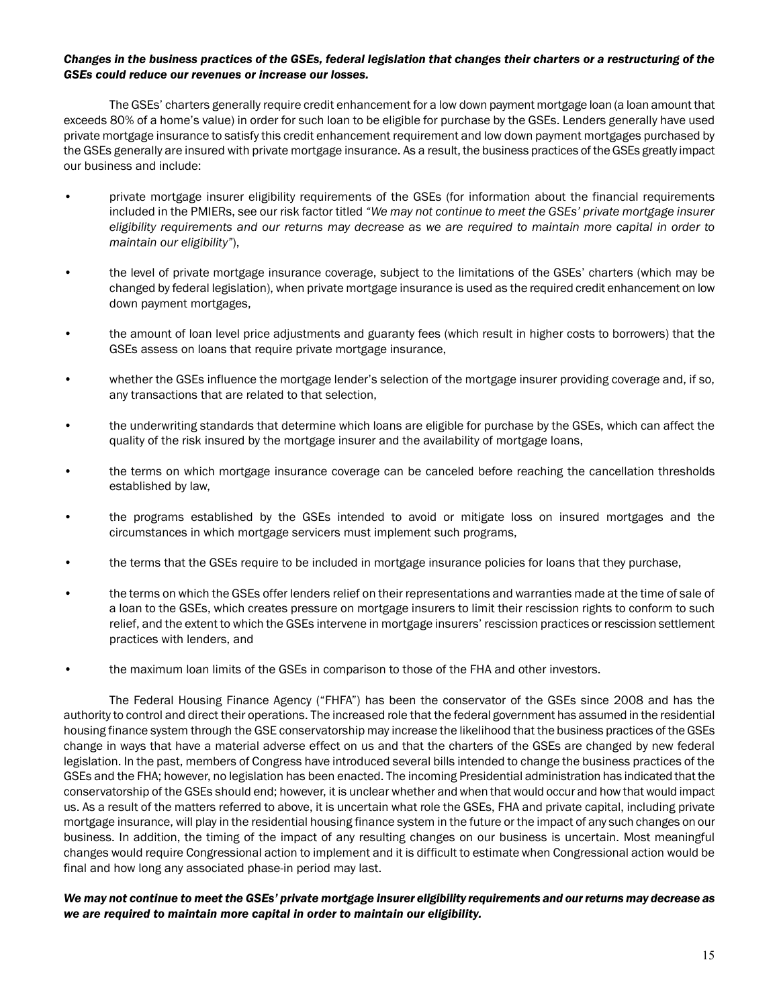### *Changes in the business practices of the GSEs, federal legislation that changes their charters or a restructuring of the GSEs could reduce our revenues or increase our losses.*

The GSEs' charters generally require credit enhancement for a low down payment mortgage loan (a loan amount that exceeds 80% of a home's value) in order for such loan to be eligible for purchase by the GSEs. Lenders generally have used private mortgage insurance to satisfy this credit enhancement requirement and low down payment mortgages purchased by the GSEs generally are insured with private mortgage insurance. As a result, the business practices of the GSEs greatly impact our business and include:

- private mortgage insurer eligibility requirements of the GSEs (for information about the financial requirements included in the PMIERs, see our risk factor titled *"We may not continue to meet the GSEs' private mortgage insurer eligibility requirements and our returns may decrease as we are required to maintain more capital in order to maintain our eligibility"*),
- the level of private mortgage insurance coverage, subject to the limitations of the GSEs' charters (which may be changed by federal legislation), when private mortgage insurance is used as the required credit enhancement on low down payment mortgages,
- the amount of loan level price adjustments and guaranty fees (which result in higher costs to borrowers) that the GSEs assess on loans that require private mortgage insurance,
- whether the GSEs influence the mortgage lender's selection of the mortgage insurer providing coverage and, if so, any transactions that are related to that selection,
- the underwriting standards that determine which loans are eligible for purchase by the GSEs, which can affect the quality of the risk insured by the mortgage insurer and the availability of mortgage loans,
- the terms on which mortgage insurance coverage can be canceled before reaching the cancellation thresholds established by law,
- the programs established by the GSEs intended to avoid or mitigate loss on insured mortgages and the circumstances in which mortgage servicers must implement such programs,
- the terms that the GSEs require to be included in mortgage insurance policies for loans that they purchase,
- the terms on which the GSEs offer lenders relief on their representations and warranties made at the time of sale of a loan to the GSEs, which creates pressure on mortgage insurers to limit their rescission rights to conform to such relief, and the extent to which the GSEs intervene in mortgage insurers' rescission practices or rescission settlement practices with lenders, and
- the maximum loan limits of the GSEs in comparison to those of the FHA and other investors.

The Federal Housing Finance Agency ("FHFA") has been the conservator of the GSEs since 2008 and has the authority to control and direct their operations. The increased role that the federal government has assumed in the residential housing finance system through the GSE conservatorship may increase the likelihood that the business practices of the GSEs change in ways that have a material adverse effect on us and that the charters of the GSEs are changed by new federal legislation. In the past, members of Congress have introduced several bills intended to change the business practices of the GSEs and the FHA; however, no legislation has been enacted. The incoming Presidential administration has indicated that the conservatorship of the GSEs should end; however, it is unclear whether and when that would occur and how that would impact us. As a result of the matters referred to above, it is uncertain what role the GSEs, FHA and private capital, including private mortgage insurance, will play in the residential housing finance system in the future or the impact of any such changes on our business. In addition, the timing of the impact of any resulting changes on our business is uncertain. Most meaningful changes would require Congressional action to implement and it is difficult to estimate when Congressional action would be final and how long any associated phase-in period may last.

#### *We may not continue to meet the GSEs' private mortgage insurer eligibility requirements and our returns may decrease as we are required to maintain more capital in order to maintain our eligibility.*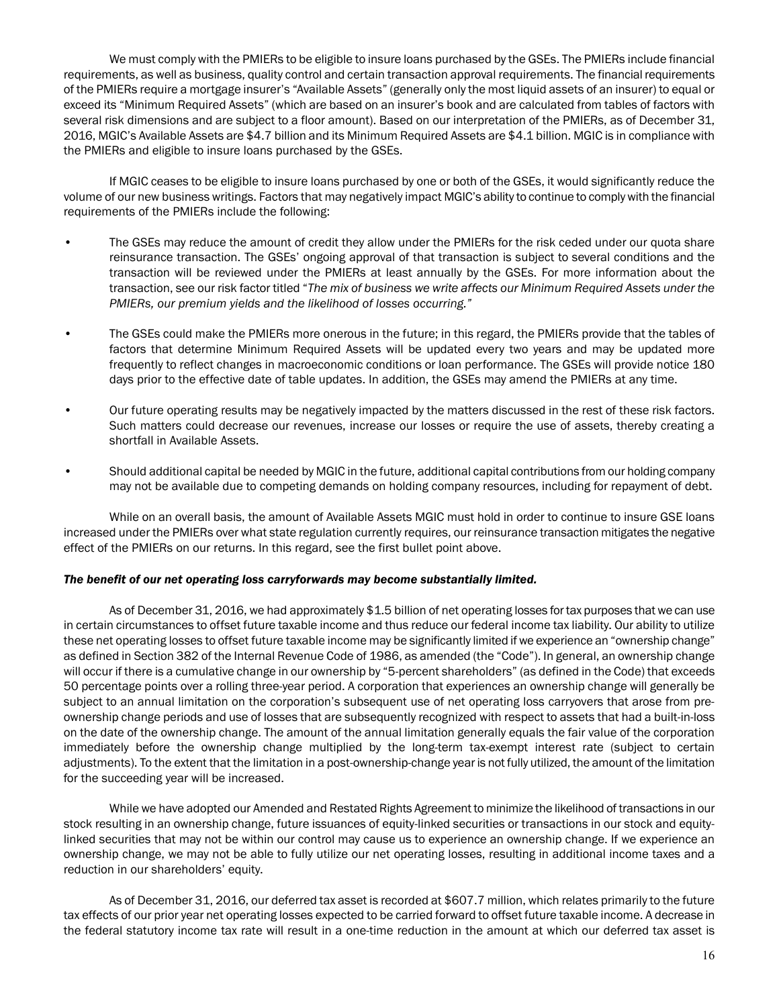We must comply with the PMIERs to be eligible to insure loans purchased by the GSEs. The PMIERs include financial requirements, as well as business, quality control and certain transaction approval requirements. The financial requirements of the PMIERs require a mortgage insurer's "Available Assets" (generally only the most liquid assets of an insurer) to equal or exceed its "Minimum Required Assets" (which are based on an insurer's book and are calculated from tables of factors with several risk dimensions and are subject to a floor amount). Based on our interpretation of the PMIERs, as of December 31, 2016, MGIC's Available Assets are \$4.7 billion and its Minimum Required Assets are \$4.1 billion. MGIC is in compliance with the PMIERs and eligible to insure loans purchased by the GSEs.

If MGIC ceases to be eligible to insure loans purchased by one or both of the GSEs, it would significantly reduce the volume of our new business writings. Factors that may negatively impact MGIC's ability to continue to comply with the financial requirements of the PMIERs include the following:

- The GSEs may reduce the amount of credit they allow under the PMIERs for the risk ceded under our quota share reinsurance transaction. The GSEs' ongoing approval of that transaction is subject to several conditions and the transaction will be reviewed under the PMIERs at least annually by the GSEs. For more information about the transaction, see our risk factor titled "*The mix of business we write affects our Minimum Required Assets under the PMIERs, our premium yields and the likelihood of losses occurring."*
- The GSEs could make the PMIERs more onerous in the future; in this regard, the PMIERs provide that the tables of factors that determine Minimum Required Assets will be updated every two years and may be updated more frequently to reflect changes in macroeconomic conditions or loan performance. The GSEs will provide notice 180 days prior to the effective date of table updates. In addition, the GSEs may amend the PMIERs at any time.
- Our future operating results may be negatively impacted by the matters discussed in the rest of these risk factors. Such matters could decrease our revenues, increase our losses or require the use of assets, thereby creating a shortfall in Available Assets.
- Should additional capital be needed by MGIC in the future, additional capital contributions from our holding company may not be available due to competing demands on holding company resources, including for repayment of debt.

While on an overall basis, the amount of Available Assets MGIC must hold in order to continue to insure GSE loans increased under the PMIERs over what state regulation currently requires, our reinsurance transaction mitigates the negative effect of the PMIERs on our returns. In this regard, see the first bullet point above.

### *The benefit of our net operating loss carryforwards may become substantially limited.*

As of December 31, 2016, we had approximately \$1.5 billion of net operating losses for tax purposes that we can use in certain circumstances to offset future taxable income and thus reduce our federal income tax liability. Our ability to utilize these net operating losses to offset future taxable income may be significantly limited if we experience an "ownership change" as defined in Section 382 of the Internal Revenue Code of 1986, as amended (the "Code"). In general, an ownership change will occur if there is a cumulative change in our ownership by "5-percent shareholders" (as defined in the Code) that exceeds 50 percentage points over a rolling three-year period. A corporation that experiences an ownership change will generally be subject to an annual limitation on the corporation's subsequent use of net operating loss carryovers that arose from preownership change periods and use of losses that are subsequently recognized with respect to assets that had a built-in-loss on the date of the ownership change. The amount of the annual limitation generally equals the fair value of the corporation immediately before the ownership change multiplied by the long-term tax-exempt interest rate (subject to certain adjustments). To the extent that the limitation in a post-ownership-change year is not fully utilized, the amount of the limitation for the succeeding year will be increased.

While we have adopted our Amended and Restated Rights Agreement to minimize the likelihood of transactions in our stock resulting in an ownership change, future issuances of equity-linked securities or transactions in our stock and equitylinked securities that may not be within our control may cause us to experience an ownership change. If we experience an ownership change, we may not be able to fully utilize our net operating losses, resulting in additional income taxes and a reduction in our shareholders' equity.

As of December 31, 2016, our deferred tax asset is recorded at \$607.7 million, which relates primarily to the future tax effects of our prior year net operating losses expected to be carried forward to offset future taxable income. A decrease in the federal statutory income tax rate will result in a one-time reduction in the amount at which our deferred tax asset is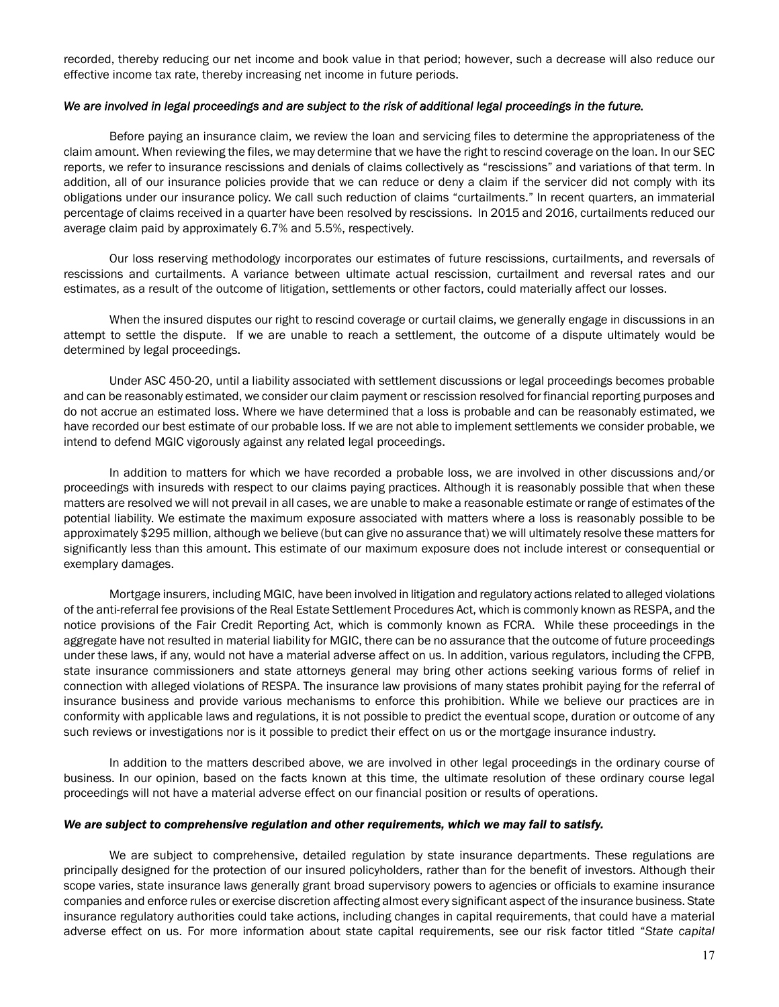recorded, thereby reducing our net income and book value in that period; however, such a decrease will also reduce our effective income tax rate, thereby increasing net income in future periods.

#### *We are involved in legal proceedings and are subject to the risk of additional legal proceedings in the future.*

Before paying an insurance claim, we review the loan and servicing files to determine the appropriateness of the claim amount. When reviewing the files, we may determine that we have the right to rescind coverage on the loan. In our SEC reports, we refer to insurance rescissions and denials of claims collectively as "rescissions" and variations of that term. In addition, all of our insurance policies provide that we can reduce or deny a claim if the servicer did not comply with its obligations under our insurance policy. We call such reduction of claims "curtailments." In recent quarters, an immaterial percentage of claims received in a quarter have been resolved by rescissions. In 2015 and 2016, curtailments reduced our average claim paid by approximately 6.7% and 5.5%, respectively.

Our loss reserving methodology incorporates our estimates of future rescissions, curtailments, and reversals of rescissions and curtailments. A variance between ultimate actual rescission, curtailment and reversal rates and our estimates, as a result of the outcome of litigation, settlements or other factors, could materially affect our losses.

When the insured disputes our right to rescind coverage or curtail claims, we generally engage in discussions in an attempt to settle the dispute. If we are unable to reach a settlement, the outcome of a dispute ultimately would be determined by legal proceedings.

Under ASC 450-20, until a liability associated with settlement discussions or legal proceedings becomes probable and can be reasonably estimated, we consider our claim payment or rescission resolved for financial reporting purposes and do not accrue an estimated loss. Where we have determined that a loss is probable and can be reasonably estimated, we have recorded our best estimate of our probable loss. If we are not able to implement settlements we consider probable, we intend to defend MGIC vigorously against any related legal proceedings.

In addition to matters for which we have recorded a probable loss, we are involved in other discussions and/or proceedings with insureds with respect to our claims paying practices. Although it is reasonably possible that when these matters are resolved we will not prevail in all cases, we are unable to make a reasonable estimate or range of estimates of the potential liability. We estimate the maximum exposure associated with matters where a loss is reasonably possible to be approximately \$295 million, although we believe (but can give no assurance that) we will ultimately resolve these matters for significantly less than this amount. This estimate of our maximum exposure does not include interest or consequential or exemplary damages.

Mortgage insurers, including MGIC, have been involved in litigation and regulatory actions related to alleged violations of the anti-referral fee provisions of the Real Estate Settlement Procedures Act, which is commonly known as RESPA, and the notice provisions of the Fair Credit Reporting Act, which is commonly known as FCRA. While these proceedings in the aggregate have not resulted in material liability for MGIC, there can be no assurance that the outcome of future proceedings under these laws, if any, would not have a material adverse affect on us. In addition, various regulators, including the CFPB, state insurance commissioners and state attorneys general may bring other actions seeking various forms of relief in connection with alleged violations of RESPA. The insurance law provisions of many states prohibit paying for the referral of insurance business and provide various mechanisms to enforce this prohibition. While we believe our practices are in conformity with applicable laws and regulations, it is not possible to predict the eventual scope, duration or outcome of any such reviews or investigations nor is it possible to predict their effect on us or the mortgage insurance industry.

In addition to the matters described above, we are involved in other legal proceedings in the ordinary course of business. In our opinion, based on the facts known at this time, the ultimate resolution of these ordinary course legal proceedings will not have a material adverse effect on our financial position or results of operations.

#### *We are subject to comprehensive regulation and other requirements, which we may fail to satisfy.*

We are subject to comprehensive, detailed regulation by state insurance departments. These regulations are principally designed for the protection of our insured policyholders, rather than for the benefit of investors. Although their scope varies, state insurance laws generally grant broad supervisory powers to agencies or officials to examine insurance companies and enforce rules or exercise discretion affecting almost every significant aspect of the insurance business. State insurance regulatory authorities could take actions, including changes in capital requirements, that could have a material adverse effect on us. For more information about state capital requirements, see our risk factor titled "*State capital*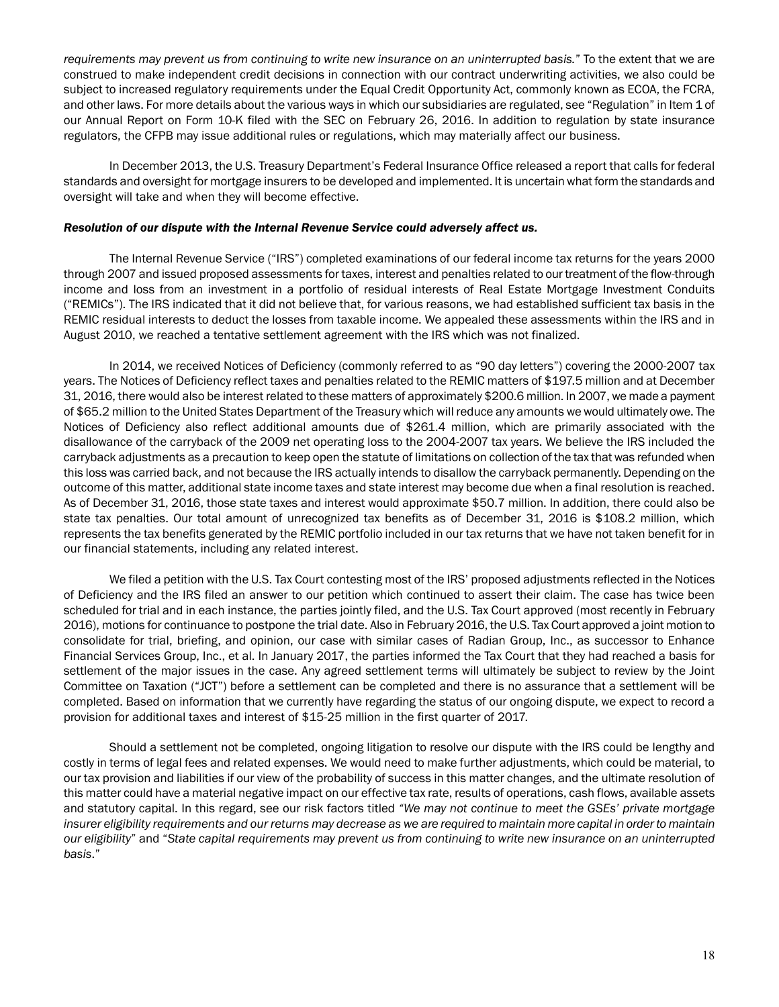*requirements may prevent us from continuing to write new insurance on an uninterrupted basis.*" To the extent that we are construed to make independent credit decisions in connection with our contract underwriting activities, we also could be subject to increased regulatory requirements under the Equal Credit Opportunity Act, commonly known as ECOA, the FCRA, and other laws. For more details about the various ways in which our subsidiaries are regulated, see "Regulation" in Item 1 of our Annual Report on Form 10-K filed with the SEC on February 26, 2016. In addition to regulation by state insurance regulators, the CFPB may issue additional rules or regulations, which may materially affect our business.

In December 2013, the U.S. Treasury Department's Federal Insurance Office released a report that calls for federal standards and oversight for mortgage insurers to be developed and implemented. It is uncertain what form the standards and oversight will take and when they will become effective.

#### *Resolution of our dispute with the Internal Revenue Service could adversely affect us.*

The Internal Revenue Service ("IRS") completed examinations of our federal income tax returns for the years 2000 through 2007 and issued proposed assessments for taxes, interest and penalties related to our treatment of the flow-through income and loss from an investment in a portfolio of residual interests of Real Estate Mortgage Investment Conduits ("REMICs"). The IRS indicated that it did not believe that, for various reasons, we had established sufficient tax basis in the REMIC residual interests to deduct the losses from taxable income. We appealed these assessments within the IRS and in August 2010, we reached a tentative settlement agreement with the IRS which was not finalized.

In 2014, we received Notices of Deficiency (commonly referred to as "90 day letters") covering the 2000-2007 tax years. The Notices of Deficiency reflect taxes and penalties related to the REMIC matters of \$197.5 million and at December 31, 2016, there would also be interest related to these matters of approximately \$200.6 million. In 2007, we made a payment of \$65.2 million to the United States Department of the Treasury which will reduce any amounts we would ultimately owe. The Notices of Deficiency also reflect additional amounts due of \$261.4 million, which are primarily associated with the disallowance of the carryback of the 2009 net operating loss to the 2004-2007 tax years. We believe the IRS included the carryback adjustments as a precaution to keep open the statute of limitations on collection of the tax that was refunded when this loss was carried back, and not because the IRS actually intends to disallow the carryback permanently. Depending on the outcome of this matter, additional state income taxes and state interest may become due when a final resolution is reached. As of December 31, 2016, those state taxes and interest would approximate \$50.7 million. In addition, there could also be state tax penalties. Our total amount of unrecognized tax benefits as of December 31, 2016 is \$108.2 million, which represents the tax benefits generated by the REMIC portfolio included in our tax returns that we have not taken benefit for in our financial statements, including any related interest.

We filed a petition with the U.S. Tax Court contesting most of the IRS' proposed adjustments reflected in the Notices of Deficiency and the IRS filed an answer to our petition which continued to assert their claim. The case has twice been scheduled for trial and in each instance, the parties jointly filed, and the U.S. Tax Court approved (most recently in February 2016), motions for continuance to postpone the trial date. Also in February 2016, the U.S. Tax Court approved a joint motion to consolidate for trial, briefing, and opinion, our case with similar cases of Radian Group, Inc., as successor to Enhance Financial Services Group, Inc., et al. In January 2017, the parties informed the Tax Court that they had reached a basis for settlement of the major issues in the case. Any agreed settlement terms will ultimately be subject to review by the Joint Committee on Taxation ("JCT") before a settlement can be completed and there is no assurance that a settlement will be completed. Based on information that we currently have regarding the status of our ongoing dispute, we expect to record a provision for additional taxes and interest of \$15-25 million in the first quarter of 2017.

Should a settlement not be completed, ongoing litigation to resolve our dispute with the IRS could be lengthy and costly in terms of legal fees and related expenses. We would need to make further adjustments, which could be material, to our tax provision and liabilities if our view of the probability of success in this matter changes, and the ultimate resolution of this matter could have a material negative impact on our effective tax rate, results of operations, cash flows, available assets and statutory capital. In this regard, see our risk factors titled *"We may not continue to meet the GSEs' private mortgage insurer eligibility requirements and our returns may decrease as we are required to maintain more capital in order to maintain our eligibility*" and "*State capital requirements may prevent us from continuing to write new insurance on an uninterrupted basis*."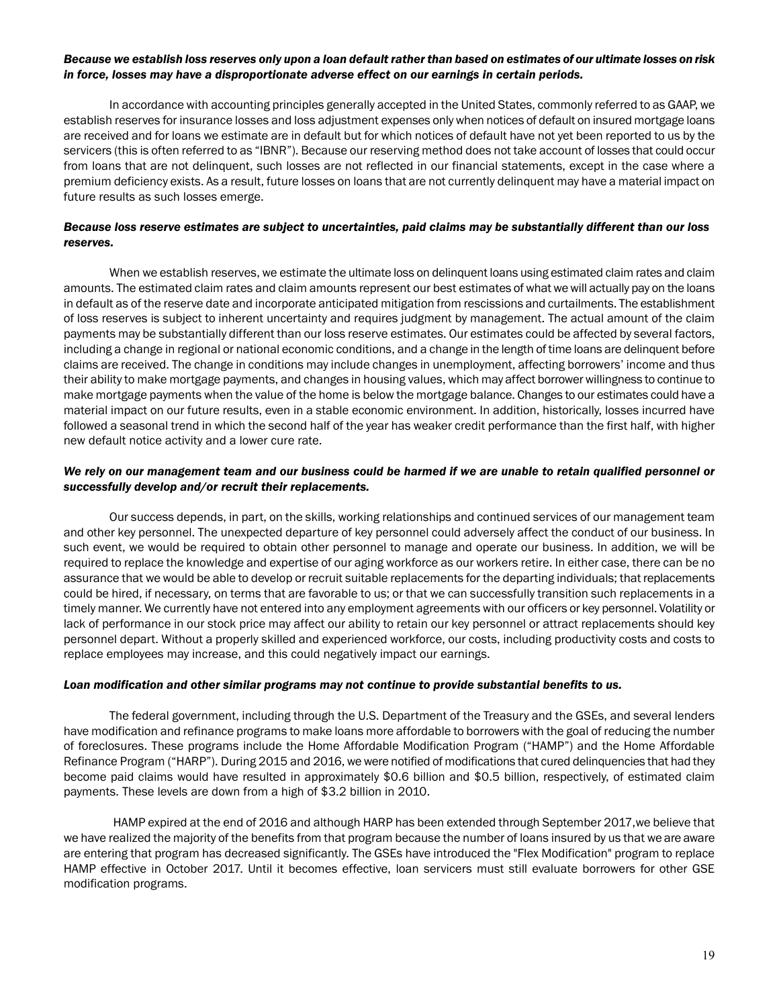#### *Because we establish loss reserves only upon a loan default rather than based on estimates of our ultimate losses on risk in force, losses may have a disproportionate adverse effect on our earnings in certain periods.*

In accordance with accounting principles generally accepted in the United States, commonly referred to as GAAP, we establish reserves for insurance losses and loss adjustment expenses only when notices of default on insured mortgage loans are received and for loans we estimate are in default but for which notices of default have not yet been reported to us by the servicers (this is often referred to as "IBNR"). Because our reserving method does not take account of losses that could occur from loans that are not delinquent, such losses are not reflected in our financial statements, except in the case where a premium deficiency exists. As a result, future losses on loans that are not currently delinquent may have a material impact on future results as such losses emerge.

## *Because loss reserve estimates are subject to uncertainties, paid claims may be substantially different than our loss reserves.*

When we establish reserves, we estimate the ultimate loss on delinquent loans using estimated claim rates and claim amounts. The estimated claim rates and claim amounts represent our best estimates of what we will actually pay on the loans in default as of the reserve date and incorporate anticipated mitigation from rescissions and curtailments. The establishment of loss reserves is subject to inherent uncertainty and requires judgment by management. The actual amount of the claim payments may be substantially different than our loss reserve estimates. Our estimates could be affected by several factors, including a change in regional or national economic conditions, and a change in the length of time loans are delinquent before claims are received. The change in conditions may include changes in unemployment, affecting borrowers' income and thus their ability to make mortgage payments, and changes in housing values, which may affect borrower willingness to continue to make mortgage payments when the value of the home is below the mortgage balance. Changes to our estimates could have a material impact on our future results, even in a stable economic environment. In addition, historically, losses incurred have followed a seasonal trend in which the second half of the year has weaker credit performance than the first half, with higher new default notice activity and a lower cure rate.

### *We rely on our management team and our business could be harmed if we are unable to retain qualified personnel or successfully develop and/or recruit their replacements.*

Our success depends, in part, on the skills, working relationships and continued services of our management team and other key personnel. The unexpected departure of key personnel could adversely affect the conduct of our business. In such event, we would be required to obtain other personnel to manage and operate our business. In addition, we will be required to replace the knowledge and expertise of our aging workforce as our workers retire. In either case, there can be no assurance that we would be able to develop or recruit suitable replacements for the departing individuals; that replacements could be hired, if necessary, on terms that are favorable to us; or that we can successfully transition such replacements in a timely manner. We currently have not entered into any employment agreements with our officers or key personnel. Volatility or lack of performance in our stock price may affect our ability to retain our key personnel or attract replacements should key personnel depart. Without a properly skilled and experienced workforce, our costs, including productivity costs and costs to replace employees may increase, and this could negatively impact our earnings.

#### *Loan modification and other similar programs may not continue to provide substantial benefits to us.*

The federal government, including through the U.S. Department of the Treasury and the GSEs, and several lenders have modification and refinance programs to make loans more affordable to borrowers with the goal of reducing the number of foreclosures. These programs include the Home Affordable Modification Program ("HAMP") and the Home Affordable Refinance Program ("HARP"). During 2015 and 2016, we were notified of modifications that cured delinquencies that had they become paid claims would have resulted in approximately \$0.6 billion and \$0.5 billion, respectively, of estimated claim payments. These levels are down from a high of \$3.2 billion in 2010.

HAMP expired at the end of 2016 and although HARP has been extended through September 2017,we believe that we have realized the majority of the benefits from that program because the number of loans insured by us that we are aware are entering that program has decreased significantly. The GSEs have introduced the "Flex Modification" program to replace HAMP effective in October 2017. Until it becomes effective, loan servicers must still evaluate borrowers for other GSE modification programs.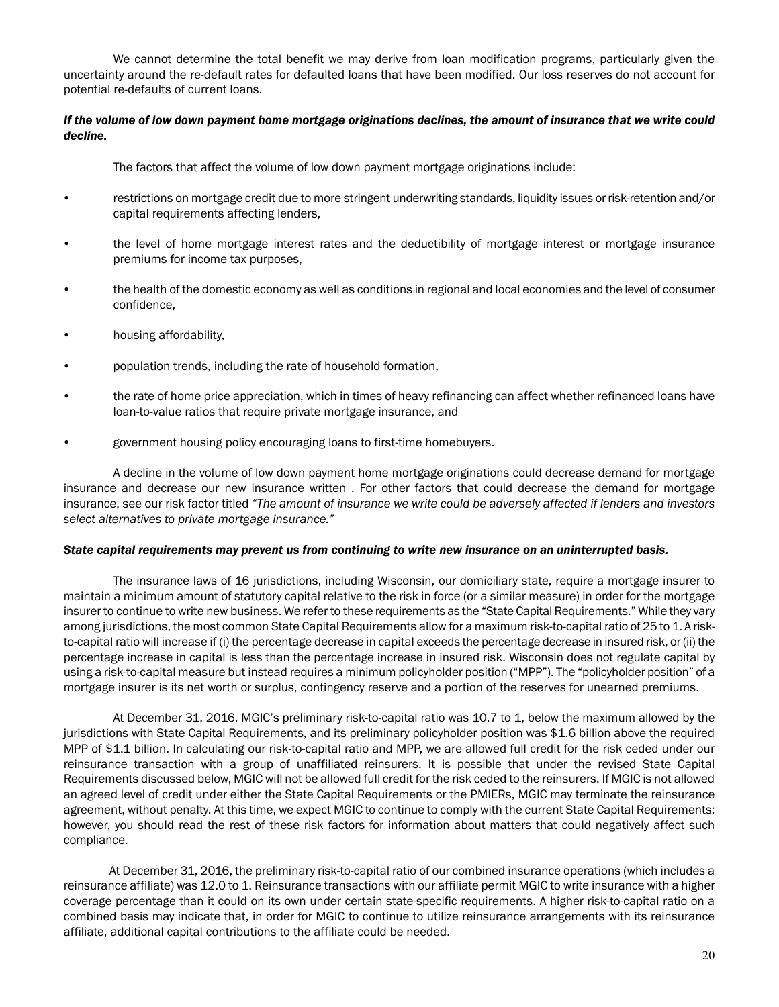We cannot determine the total benefit we may derive from loan modification programs, particularly given the uncertainty around the re-default rates for defaulted loans that have been modified. Our loss reserves do not account for potential re-defaults of current loans.

## *If the volume of low down payment home mortgage originations declines, the amount of insurance that we write could decline.*

The factors that affect the volume of low down payment mortgage originations include:

- restrictions on mortgage credit due to more stringent underwriting standards, liquidity issues or risk-retention and/or capital requirements affecting lenders,
- the level of home mortgage interest rates and the deductibility of mortgage interest or mortgage insurance premiums for income tax purposes,
- the health of the domestic economy as well as conditions in regional and local economies and the level of consumer confidence,
- housing affordability,
- population trends, including the rate of household formation,
- the rate of home price appreciation, which in times of heavy refinancing can affect whether refinanced loans have loan-to-value ratios that require private mortgage insurance, and
- government housing policy encouraging loans to first-time homebuyers.

A decline in the volume of low down payment home mortgage originations could decrease demand for mortgage insurance and decrease our new insurance written . For other factors that could decrease the demand for mortgage insurance, see our risk factor titled *"The amount of insurance we write could be adversely affected if lenders and investors select alternatives to private mortgage insurance."*

#### *State capital requirements may prevent us from continuing to write new insurance on an uninterrupted basis.*

The insurance laws of 16 jurisdictions, including Wisconsin, our domiciliary state, require a mortgage insurer to maintain a minimum amount of statutory capital relative to the risk in force (or a similar measure) in order for the mortgage insurer to continue to write new business. We refer to these requirements as the "State Capital Requirements." While they vary among jurisdictions, the most common State Capital Requirements allow for a maximum risk-to-capital ratio of 25 to 1. A riskto-capital ratio will increase if (i) the percentage decrease in capital exceeds the percentage decrease in insured risk, or (ii) the percentage increase in capital is less than the percentage increase in insured risk. Wisconsin does not regulate capital by using a risk-to-capital measure but instead requires a minimum policyholder position ("MPP"). The "policyholder position" of a mortgage insurer is its net worth or surplus, contingency reserve and a portion of the reserves for unearned premiums.

At December 31, 2016, MGIC's preliminary risk-to-capital ratio was 10.7 to 1, below the maximum allowed by the jurisdictions with State Capital Requirements, and its preliminary policyholder position was \$1.6 billion above the required MPP of \$1.1 billion. In calculating our risk-to-capital ratio and MPP, we are allowed full credit for the risk ceded under our reinsurance transaction with a group of unaffiliated reinsurers. It is possible that under the revised State Capital Requirements discussed below, MGIC will not be allowed full credit for the risk ceded to the reinsurers. If MGIC is not allowed an agreed level of credit under either the State Capital Requirements or the PMIERs, MGIC may terminate the reinsurance agreement, without penalty. At this time, we expect MGIC to continue to comply with the current State Capital Requirements; however, you should read the rest of these risk factors for information about matters that could negatively affect such compliance.

At December 31, 2016, the preliminary risk-to-capital ratio of our combined insurance operations (which includes a reinsurance affiliate) was 12.0 to 1. Reinsurance transactions with our affiliate permit MGIC to write insurance with a higher coverage percentage than it could on its own under certain state-specific requirements. A higher risk-to-capital ratio on a combined basis may indicate that, in order for MGIC to continue to utilize reinsurance arrangements with its reinsurance affiliate, additional capital contributions to the affiliate could be needed.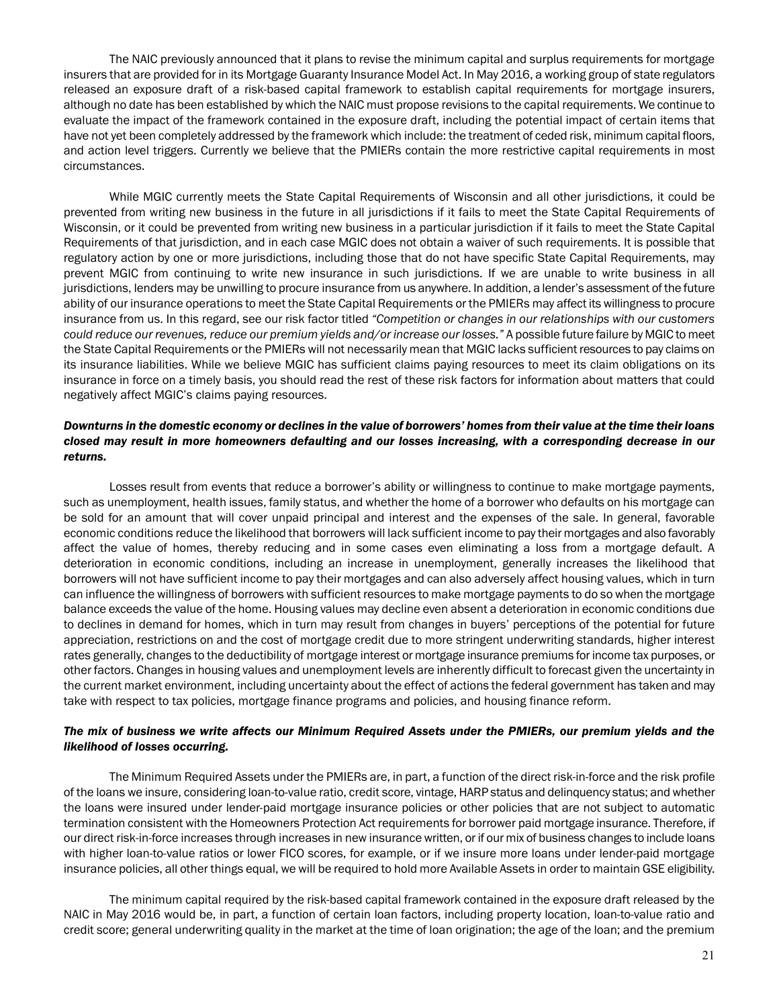The NAIC previously announced that it plans to revise the minimum capital and surplus requirements for mortgage insurers that are provided for in its Mortgage Guaranty Insurance Model Act. In May 2016, a working group of state regulators released an exposure draft of a risk-based capital framework to establish capital requirements for mortgage insurers, although no date has been established by which the NAIC must propose revisions to the capital requirements. We continue to evaluate the impact of the framework contained in the exposure draft, including the potential impact of certain items that have not yet been completely addressed by the framework which include: the treatment of ceded risk, minimum capital floors, and action level triggers. Currently we believe that the PMIERs contain the more restrictive capital requirements in most circumstances.

While MGIC currently meets the State Capital Requirements of Wisconsin and all other jurisdictions, it could be prevented from writing new business in the future in all jurisdictions if it fails to meet the State Capital Requirements of Wisconsin, or it could be prevented from writing new business in a particular jurisdiction if it fails to meet the State Capital Requirements of that jurisdiction, and in each case MGIC does not obtain a waiver of such requirements. It is possible that regulatory action by one or more jurisdictions, including those that do not have specific State Capital Requirements, may prevent MGIC from continuing to write new insurance in such jurisdictions. If we are unable to write business in all jurisdictions, lenders may be unwilling to procure insurance from us anywhere. In addition, a lender's assessment of the future ability of our insurance operations to meet the State Capital Requirements or the PMIERs may affect its willingness to procure insurance from us. In this regard, see our risk factor titled *"Competition or changes in our relationships with our customers could reduce our revenues, reduce our premium yields and/or increase our losses."* A possible future failure by MGIC to meet the State Capital Requirements or the PMIERs will not necessarily mean that MGIC lacks sufficient resources to pay claims on its insurance liabilities. While we believe MGIC has sufficient claims paying resources to meet its claim obligations on its insurance in force on a timely basis, you should read the rest of these risk factors for information about matters that could negatively affect MGIC's claims paying resources.

#### *Downturns in the domestic economy or declines in the value of borrowers' homes from their value at the time their loans closed may result in more homeowners defaulting and our losses increasing, with a corresponding decrease in our returns.*

Losses result from events that reduce a borrower's ability or willingness to continue to make mortgage payments, such as unemployment, health issues, family status, and whether the home of a borrower who defaults on his mortgage can be sold for an amount that will cover unpaid principal and interest and the expenses of the sale. In general, favorable economic conditions reduce the likelihood that borrowers will lack sufficient income to pay their mortgages and also favorably affect the value of homes, thereby reducing and in some cases even eliminating a loss from a mortgage default. A deterioration in economic conditions, including an increase in unemployment, generally increases the likelihood that borrowers will not have sufficient income to pay their mortgages and can also adversely affect housing values, which in turn can influence the willingness of borrowers with sufficient resources to make mortgage payments to do so when the mortgage balance exceeds the value of the home. Housing values may decline even absent a deterioration in economic conditions due to declines in demand for homes, which in turn may result from changes in buyers' perceptions of the potential for future appreciation, restrictions on and the cost of mortgage credit due to more stringent underwriting standards, higher interest rates generally, changes to the deductibility of mortgage interest or mortgage insurance premiums for income tax purposes, or other factors. Changes in housing values and unemployment levels are inherently difficult to forecast given the uncertainty in the current market environment, including uncertainty about the effect of actions the federal government has taken and may take with respect to tax policies, mortgage finance programs and policies, and housing finance reform.

### *The mix of business we write affects our Minimum Required Assets under the PMIERs, our premium yields and the likelihood of losses occurring.*

The Minimum Required Assets under the PMIERs are, in part, a function of the direct risk-in-force and the risk profile of the loans we insure, considering loan-to-value ratio, credit score, vintage, HARP status and delinquency status; and whether the loans were insured under lender-paid mortgage insurance policies or other policies that are not subject to automatic termination consistent with the Homeowners Protection Act requirements for borrower paid mortgage insurance. Therefore, if our direct risk-in-force increases through increases in new insurance written, or if our mix of business changes to include loans with higher loan-to-value ratios or lower FICO scores, for example, or if we insure more loans under lender-paid mortgage insurance policies, all other things equal, we will be required to hold more Available Assets in order to maintain GSE eligibility.

The minimum capital required by the risk-based capital framework contained in the exposure draft released by the NAIC in May 2016 would be, in part, a function of certain loan factors, including property location, loan-to-value ratio and credit score; general underwriting quality in the market at the time of loan origination; the age of the loan; and the premium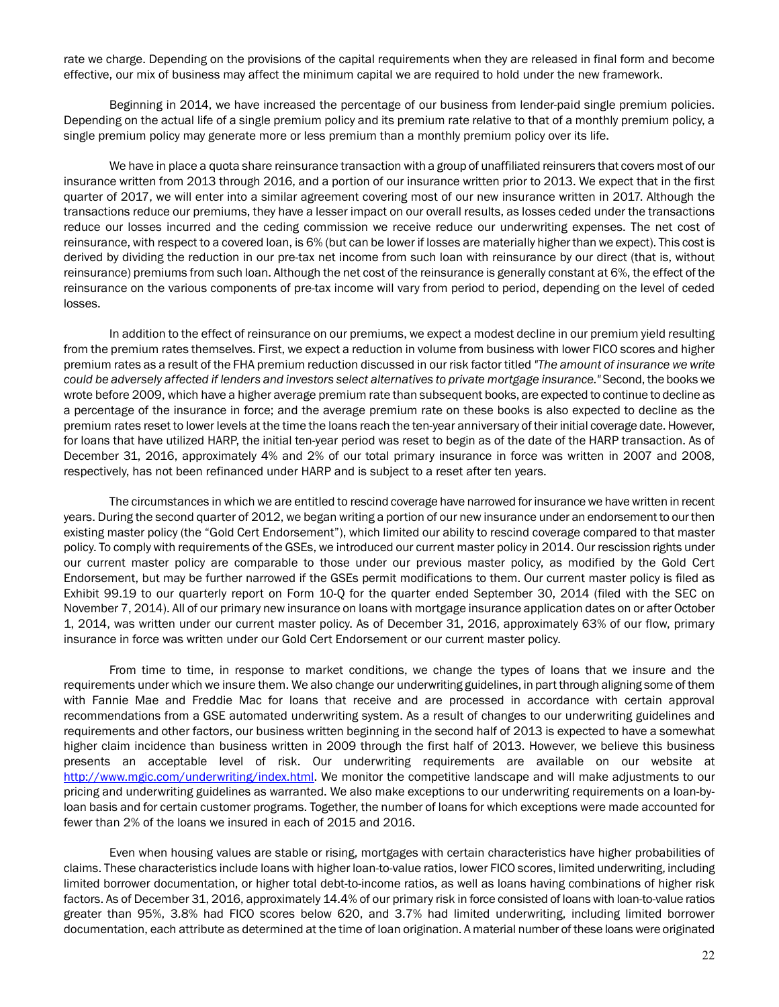rate we charge. Depending on the provisions of the capital requirements when they are released in final form and become effective, our mix of business may affect the minimum capital we are required to hold under the new framework.

Beginning in 2014, we have increased the percentage of our business from lender-paid single premium policies. Depending on the actual life of a single premium policy and its premium rate relative to that of a monthly premium policy, a single premium policy may generate more or less premium than a monthly premium policy over its life.

We have in place a quota share reinsurance transaction with a group of unaffiliated reinsurers that covers most of our insurance written from 2013 through 2016, and a portion of our insurance written prior to 2013. We expect that in the first quarter of 2017, we will enter into a similar agreement covering most of our new insurance written in 2017. Although the transactions reduce our premiums, they have a lesser impact on our overall results, as losses ceded under the transactions reduce our losses incurred and the ceding commission we receive reduce our underwriting expenses. The net cost of reinsurance, with respect to a covered loan, is 6% (but can be lower if losses are materially higher than we expect). This cost is derived by dividing the reduction in our pre-tax net income from such loan with reinsurance by our direct (that is, without reinsurance) premiums from such loan. Although the net cost of the reinsurance is generally constant at 6%, the effect of the reinsurance on the various components of pre-tax income will vary from period to period, depending on the level of ceded losses.

In addition to the effect of reinsurance on our premiums, we expect a modest decline in our premium yield resulting from the premium rates themselves. First, we expect a reduction in volume from business with lower FICO scores and higher premium rates as a result of the FHA premium reduction discussed in our risk factor titled *"The amount of insurance we write could be adversely affected if lenders and investors select alternatives to private mortgage insurance."* Second, the books we wrote before 2009, which have a higher average premium rate than subsequent books, are expected to continue to decline as a percentage of the insurance in force; and the average premium rate on these books is also expected to decline as the premium rates reset to lower levels at the time the loans reach the ten-year anniversary of their initial coverage date. However, for loans that have utilized HARP, the initial ten-year period was reset to begin as of the date of the HARP transaction. As of December 31, 2016, approximately 4% and 2% of our total primary insurance in force was written in 2007 and 2008, respectively, has not been refinanced under HARP and is subject to a reset after ten years.

The circumstances in which we are entitled to rescind coverage have narrowed for insurance we have written in recent years. During the second quarter of 2012, we began writing a portion of our new insurance under an endorsement to our then existing master policy (the "Gold Cert Endorsement"), which limited our ability to rescind coverage compared to that master policy. To comply with requirements of the GSEs, we introduced our current master policy in 2014. Our rescission rights under our current master policy are comparable to those under our previous master policy, as modified by the Gold Cert Endorsement, but may be further narrowed if the GSEs permit modifications to them. Our current master policy is filed as Exhibit 99.19 to our quarterly report on Form 10-Q for the quarter ended September 30, 2014 (filed with the SEC on November 7, 2014). All of our primary new insurance on loans with mortgage insurance application dates on or after October 1, 2014, was written under our current master policy. As of December 31, 2016, approximately 63% of our flow, primary insurance in force was written under our Gold Cert Endorsement or our current master policy.

From time to time, in response to market conditions, we change the types of loans that we insure and the requirements under which we insure them. We also change our underwriting guidelines, in part through aligning some of them with Fannie Mae and Freddie Mac for loans that receive and are processed in accordance with certain approval recommendations from a GSE automated underwriting system. As a result of changes to our underwriting guidelines and requirements and other factors, our business written beginning in the second half of 2013 is expected to have a somewhat higher claim incidence than business written in 2009 through the first half of 2013. However, we believe this business presents an acceptable level of risk. Our underwriting requirements are available on our website at http://www.mgic.com/underwriting/index.html. We monitor the competitive landscape and will make adjustments to our pricing and underwriting guidelines as warranted. We also make exceptions to our underwriting requirements on a loan-byloan basis and for certain customer programs. Together, the number of loans for which exceptions were made accounted for fewer than 2% of the loans we insured in each of 2015 and 2016.

Even when housing values are stable or rising, mortgages with certain characteristics have higher probabilities of claims. These characteristics include loans with higher loan-to-value ratios, lower FICO scores, limited underwriting, including limited borrower documentation, or higher total debt-to-income ratios, as well as loans having combinations of higher risk factors. As of December 31, 2016, approximately 14.4% of our primary risk in force consisted of loans with loan-to-value ratios greater than 95%, 3.8% had FICO scores below 620, and 3.7% had limited underwriting, including limited borrower documentation, each attribute as determined at the time of loan origination. A material number of these loans were originated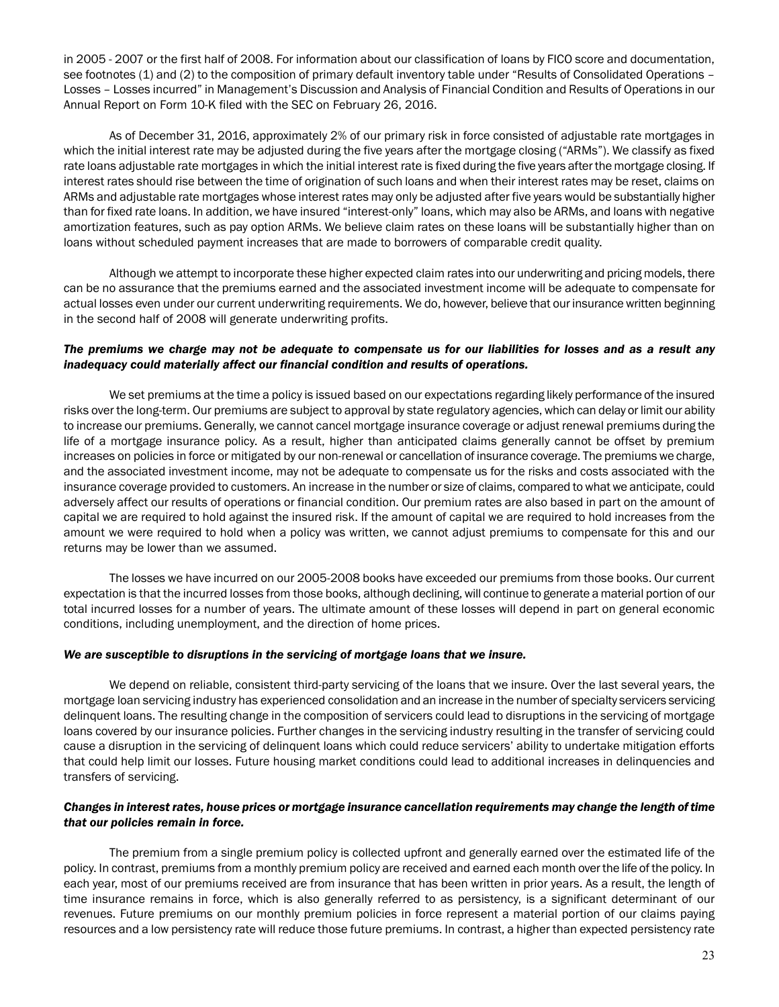in 2005 - 2007 or the first half of 2008. For information about our classification of loans by FICO score and documentation, see footnotes (1) and (2) to the composition of primary default inventory table under "Results of Consolidated Operations – Losses – Losses incurred" in Management's Discussion and Analysis of Financial Condition and Results of Operations in our Annual Report on Form 10-K filed with the SEC on February 26, 2016.

As of December 31, 2016, approximately 2% of our primary risk in force consisted of adjustable rate mortgages in which the initial interest rate may be adjusted during the five years after the mortgage closing ("ARMs"). We classify as fixed rate loans adjustable rate mortgages in which the initial interest rate is fixed during the five years after the mortgage closing. If interest rates should rise between the time of origination of such loans and when their interest rates may be reset, claims on ARMs and adjustable rate mortgages whose interest rates may only be adjusted after five years would be substantially higher than for fixed rate loans. In addition, we have insured "interest-only" loans, which may also be ARMs, and loans with negative amortization features, such as pay option ARMs. We believe claim rates on these loans will be substantially higher than on loans without scheduled payment increases that are made to borrowers of comparable credit quality.

Although we attempt to incorporate these higher expected claim rates into our underwriting and pricing models, there can be no assurance that the premiums earned and the associated investment income will be adequate to compensate for actual losses even under our current underwriting requirements. We do, however, believe that our insurance written beginning in the second half of 2008 will generate underwriting profits.

### *The premiums we charge may not be adequate to compensate us for our liabilities for losses and as a result any inadequacy could materially affect our financial condition and results of operations.*

We set premiums at the time a policy is issued based on our expectations regarding likely performance of the insured risks over the long-term. Our premiums are subject to approval by state regulatory agencies, which can delay or limit our ability to increase our premiums. Generally, we cannot cancel mortgage insurance coverage or adjust renewal premiums during the life of a mortgage insurance policy. As a result, higher than anticipated claims generally cannot be offset by premium increases on policies in force or mitigated by our non-renewal or cancellation of insurance coverage. The premiums we charge, and the associated investment income, may not be adequate to compensate us for the risks and costs associated with the insurance coverage provided to customers. An increase in the number or size of claims, compared to what we anticipate, could adversely affect our results of operations or financial condition. Our premium rates are also based in part on the amount of capital we are required to hold against the insured risk. If the amount of capital we are required to hold increases from the amount we were required to hold when a policy was written, we cannot adjust premiums to compensate for this and our returns may be lower than we assumed.

The losses we have incurred on our 2005-2008 books have exceeded our premiums from those books. Our current expectation is that the incurred losses from those books, although declining, will continue to generate a material portion of our total incurred losses for a number of years. The ultimate amount of these losses will depend in part on general economic conditions, including unemployment, and the direction of home prices.

### *We are susceptible to disruptions in the servicing of mortgage loans that we insure.*

We depend on reliable, consistent third-party servicing of the loans that we insure. Over the last several years, the mortgage loan servicing industry has experienced consolidation and an increase in the number of specialty servicers servicing delinquent loans. The resulting change in the composition of servicers could lead to disruptions in the servicing of mortgage loans covered by our insurance policies. Further changes in the servicing industry resulting in the transfer of servicing could cause a disruption in the servicing of delinquent loans which could reduce servicers' ability to undertake mitigation efforts that could help limit our losses. Future housing market conditions could lead to additional increases in delinquencies and transfers of servicing.

### *Changes in interest rates, house prices or mortgage insurance cancellation requirements may change the length of time that our policies remain in force.*

The premium from a single premium policy is collected upfront and generally earned over the estimated life of the policy. In contrast, premiums from a monthly premium policy are received and earned each month over the life of the policy. In each year, most of our premiums received are from insurance that has been written in prior years. As a result, the length of time insurance remains in force, which is also generally referred to as persistency, is a significant determinant of our revenues. Future premiums on our monthly premium policies in force represent a material portion of our claims paying resources and a low persistency rate will reduce those future premiums. In contrast, a higher than expected persistency rate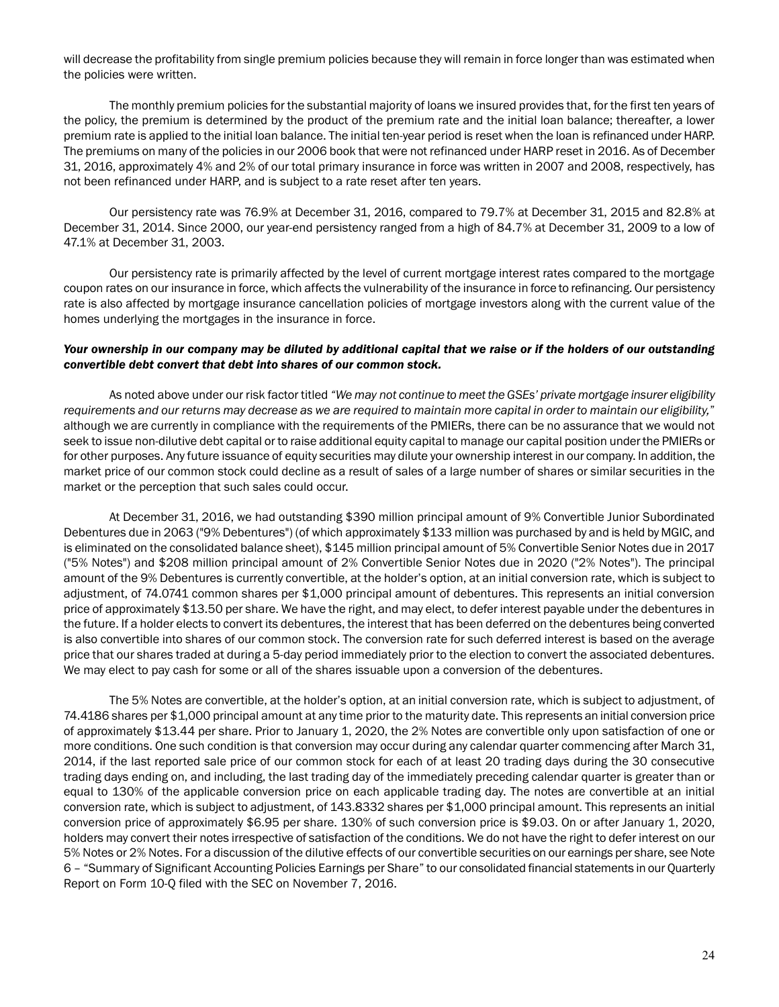will decrease the profitability from single premium policies because they will remain in force longer than was estimated when the policies were written.

The monthly premium policies for the substantial majority of loans we insured provides that, for the first ten years of the policy, the premium is determined by the product of the premium rate and the initial loan balance; thereafter, a lower premium rate is applied to the initial loan balance. The initial ten-year period is reset when the loan is refinanced under HARP. The premiums on many of the policies in our 2006 book that were not refinanced under HARP reset in 2016. As of December 31, 2016, approximately 4% and 2% of our total primary insurance in force was written in 2007 and 2008, respectively, has not been refinanced under HARP, and is subject to a rate reset after ten years.

Our persistency rate was 76.9% at December 31, 2016, compared to 79.7% at December 31, 2015 and 82.8% at December 31, 2014. Since 2000, our year-end persistency ranged from a high of 84.7% at December 31, 2009 to a low of 47.1% at December 31, 2003.

Our persistency rate is primarily affected by the level of current mortgage interest rates compared to the mortgage coupon rates on our insurance in force, which affects the vulnerability of the insurance in force to refinancing. Our persistency rate is also affected by mortgage insurance cancellation policies of mortgage investors along with the current value of the homes underlying the mortgages in the insurance in force.

### *Your ownership in our company may be diluted by additional capital that we raise or if the holders of our outstanding convertible debt convert that debt into shares of our common stock.*

As noted above under our risk factor titled *"We may not continue to meet the GSEs' private mortgage insurer eligibility requirements and our returns may decrease as we are required to maintain more capital in order to maintain our eligibility,*" although we are currently in compliance with the requirements of the PMIERs, there can be no assurance that we would not seek to issue non-dilutive debt capital or to raise additional equity capital to manage our capital position under the PMIERs or for other purposes. Any future issuance of equity securities may dilute your ownership interest in our company. In addition, the market price of our common stock could decline as a result of sales of a large number of shares or similar securities in the market or the perception that such sales could occur.

At December 31, 2016, we had outstanding \$390 million principal amount of 9% Convertible Junior Subordinated Debentures due in 2063 ("9% Debentures") (of which approximately \$133 million was purchased by and is held by MGIC, and is eliminated on the consolidated balance sheet), \$145 million principal amount of 5% Convertible Senior Notes due in 2017 ("5% Notes") and \$208 million principal amount of 2% Convertible Senior Notes due in 2020 ("2% Notes"). The principal amount of the 9% Debentures is currently convertible, at the holder's option, at an initial conversion rate, which is subject to adjustment, of 74.0741 common shares per \$1,000 principal amount of debentures. This represents an initial conversion price of approximately \$13.50 per share. We have the right, and may elect, to defer interest payable under the debentures in the future. If a holder elects to convert its debentures, the interest that has been deferred on the debentures being converted is also convertible into shares of our common stock. The conversion rate for such deferred interest is based on the average price that our shares traded at during a 5-day period immediately prior to the election to convert the associated debentures. We may elect to pay cash for some or all of the shares issuable upon a conversion of the debentures.

The 5% Notes are convertible, at the holder's option, at an initial conversion rate, which is subject to adjustment, of 74.4186 shares per \$1,000 principal amount at any time prior to the maturity date. This represents an initial conversion price of approximately \$13.44 per share. Prior to January 1, 2020, the 2% Notes are convertible only upon satisfaction of one or more conditions. One such condition is that conversion may occur during any calendar quarter commencing after March 31, 2014, if the last reported sale price of our common stock for each of at least 20 trading days during the 30 consecutive trading days ending on, and including, the last trading day of the immediately preceding calendar quarter is greater than or equal to 130% of the applicable conversion price on each applicable trading day. The notes are convertible at an initial conversion rate, which is subject to adjustment, of 143.8332 shares per \$1,000 principal amount. This represents an initial conversion price of approximately \$6.95 per share. 130% of such conversion price is \$9.03. On or after January 1, 2020, holders may convert their notes irrespective of satisfaction of the conditions. We do not have the right to defer interest on our 5% Notes or 2% Notes. For a discussion of the dilutive effects of our convertible securities on our earnings per share, see Note 6 – "Summary of Significant Accounting Policies Earnings per Share" to our consolidated financial statements in our Quarterly Report on Form 10-Q filed with the SEC on November 7, 2016.